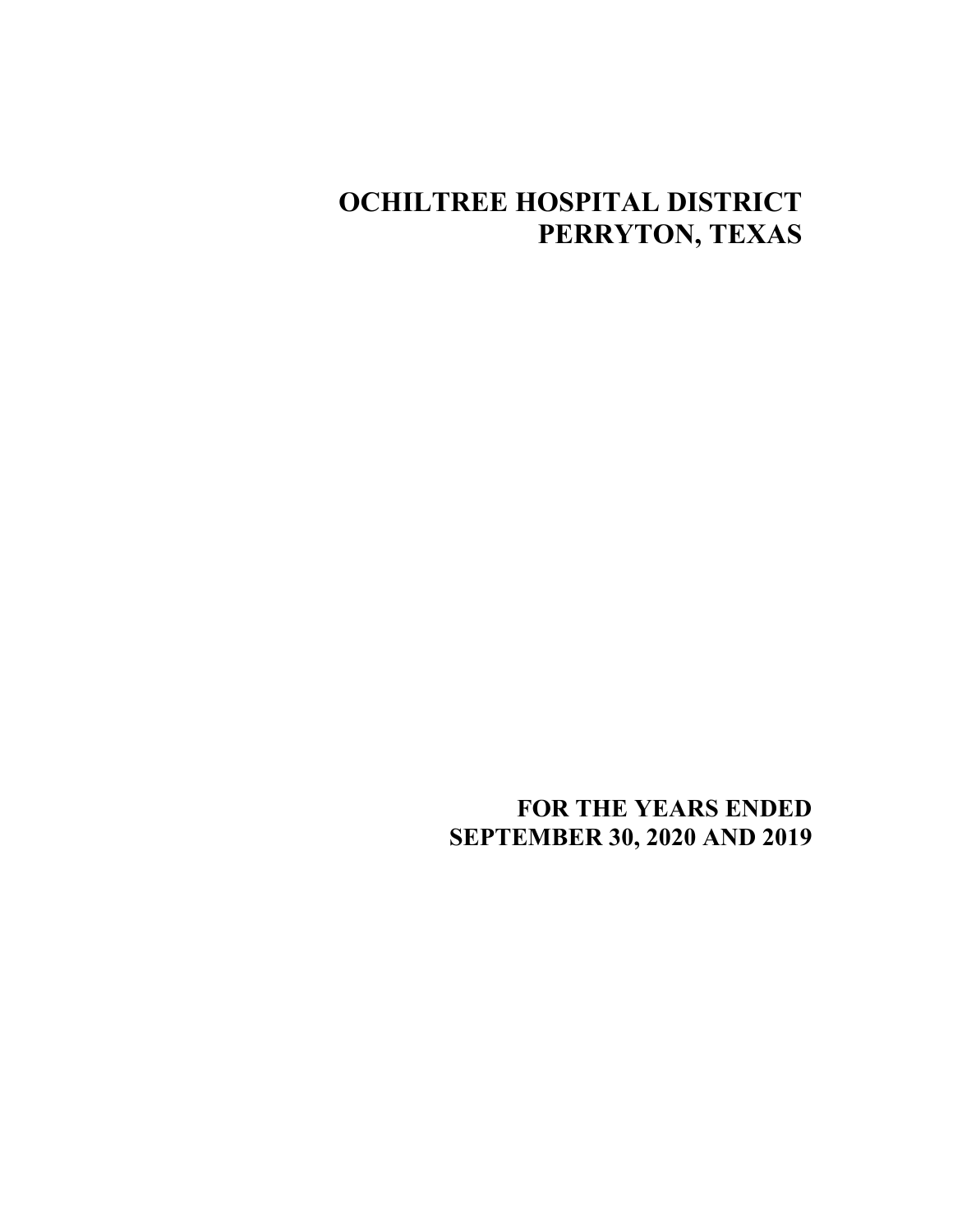# **OCHILTREE HOSPITAL DISTRICT PERRYTON, TEXAS**

**FOR THE YEARS ENDED SEPTEMBER 30, 2020 AND 2019**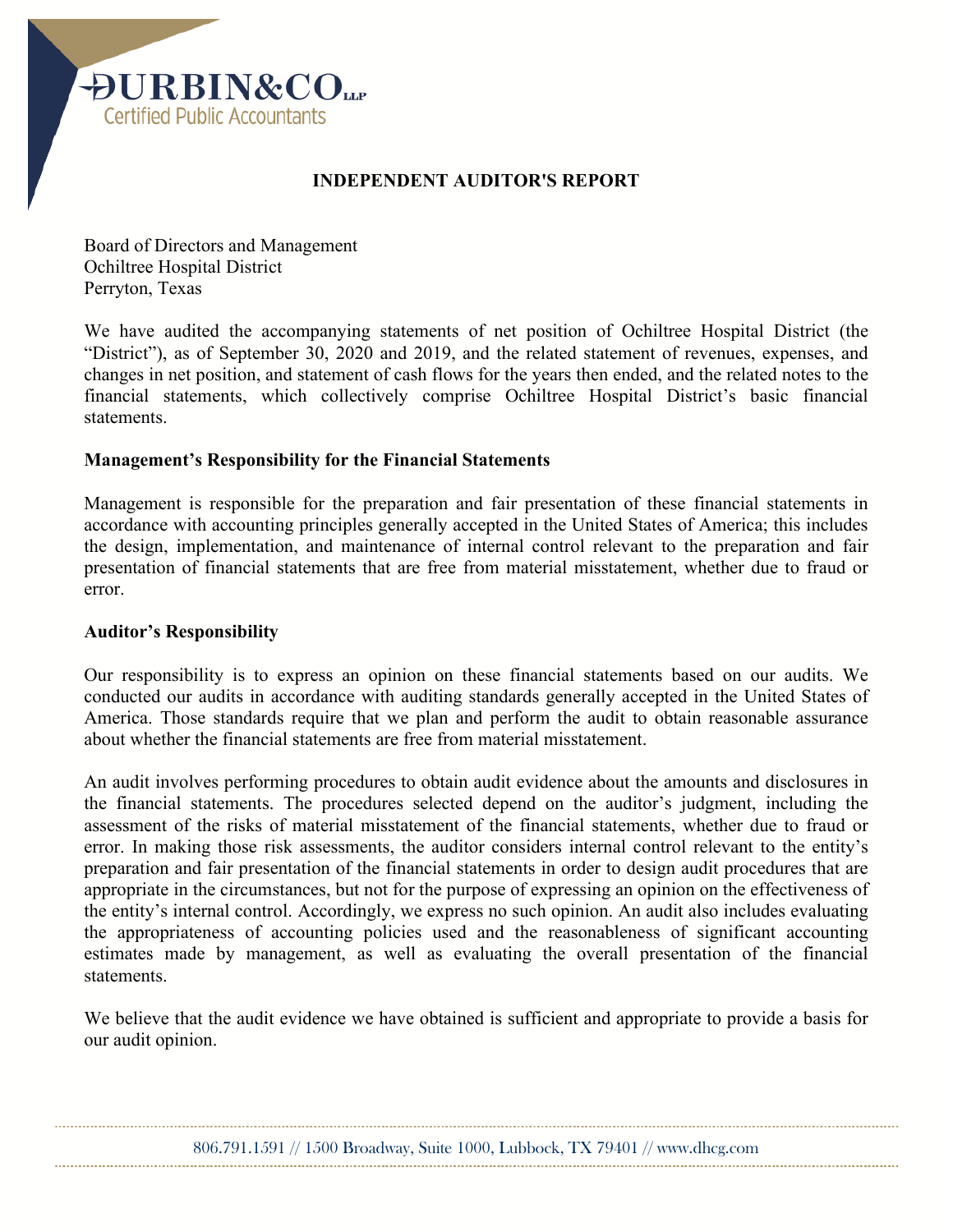

## **INDEPENDENT AUDITOR'S REPORT**

Board of Directors and Management Ochiltree Hospital District Perryton, Texas

We have audited the accompanying statements of net position of Ochiltree Hospital District (the "District"), as of September 30, 2020 and 2019, and the related statement of revenues, expenses, and changes in net position, and statement of cash flows for the years then ended, and the related notes to the financial statements, which collectively comprise Ochiltree Hospital District's basic financial statements.

#### **Management's Responsibility for the Financial Statements**

Management is responsible for the preparation and fair presentation of these financial statements in accordance with accounting principles generally accepted in the United States of America; this includes the design, implementation, and maintenance of internal control relevant to the preparation and fair presentation of financial statements that are free from material misstatement, whether due to fraud or error.

#### **Auditor's Responsibility**

ł

Our responsibility is to express an opinion on these financial statements based on our audits. We conducted our audits in accordance with auditing standards generally accepted in the United States of America. Those standards require that we plan and perform the audit to obtain reasonable assurance about whether the financial statements are free from material misstatement.

An audit involves performing procedures to obtain audit evidence about the amounts and disclosures in the financial statements. The procedures selected depend on the auditor's judgment, including the assessment of the risks of material misstatement of the financial statements, whether due to fraud or error. In making those risk assessments, the auditor considers internal control relevant to the entity's preparation and fair presentation of the financial statements in order to design audit procedures that are appropriate in the circumstances, but not for the purpose of expressing an opinion on the effectiveness of the entity's internal control. Accordingly, we express no such opinion. An audit also includes evaluating the appropriateness of accounting policies used and the reasonableness of significant accounting estimates made by management, as well as evaluating the overall presentation of the financial statements.

We believe that the audit evidence we have obtained is sufficient and appropriate to provide a basis for our audit opinion.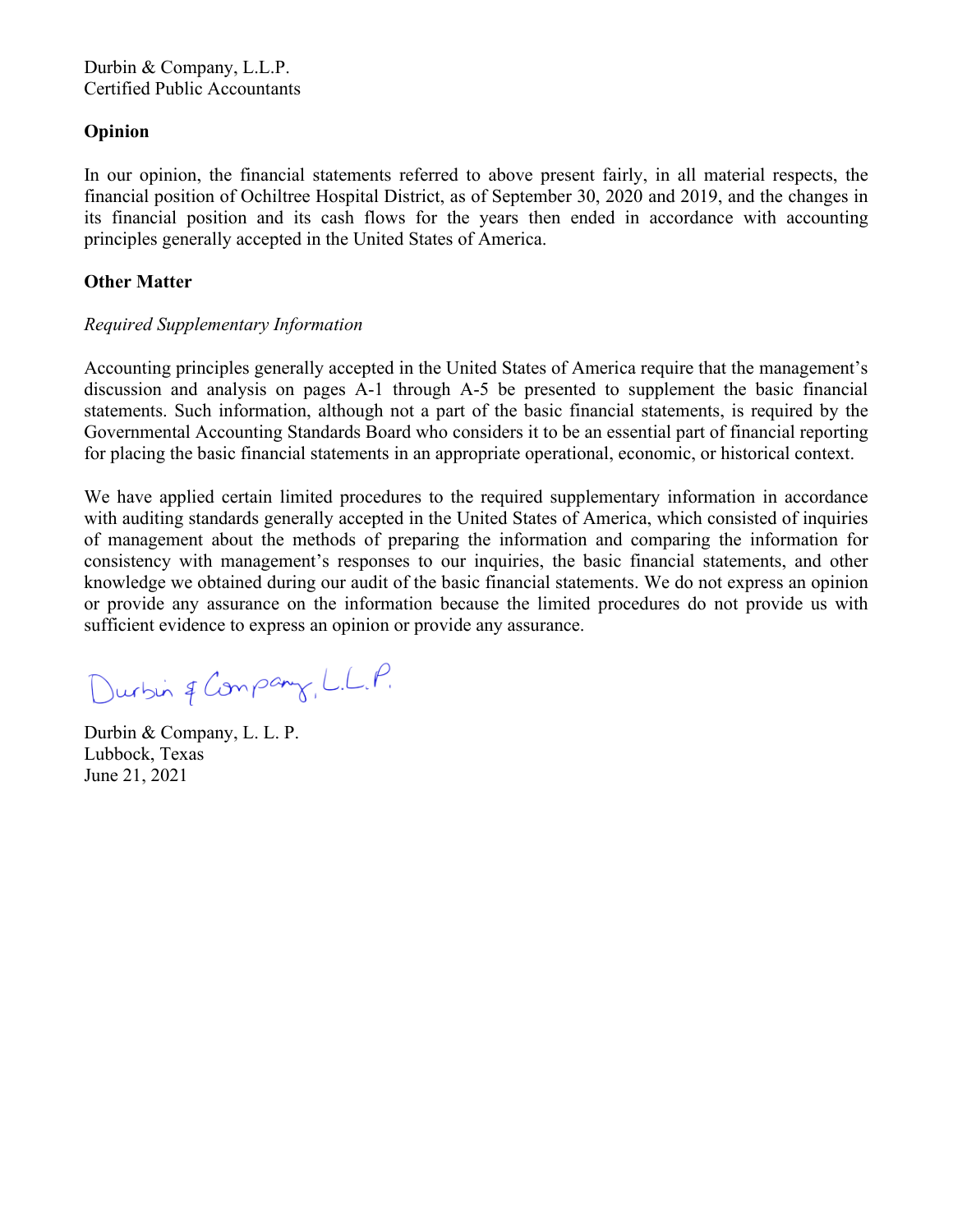Durbin & Company, L.L.P. Certified Public Accountants

#### **Opinion**

In our opinion, the financial statements referred to above present fairly, in all material respects, the financial position of Ochiltree Hospital District, as of September 30, 2020 and 2019, and the changes in its financial position and its cash flows for the years then ended in accordance with accounting principles generally accepted in the United States of America.

# **Other Matter**

#### *Required Supplementary Information*

Accounting principles generally accepted in the United States of America require that the management's discussion and analysis on pages A-1 through A-5 be presented to supplement the basic financial statements. Such information, although not a part of the basic financial statements, is required by the Governmental Accounting Standards Board who considers it to be an essential part of financial reporting for placing the basic financial statements in an appropriate operational, economic, or historical context.

We have applied certain limited procedures to the required supplementary information in accordance with auditing standards generally accepted in the United States of America, which consisted of inquiries of management about the methods of preparing the information and comparing the information for consistency with management's responses to our inquiries, the basic financial statements, and other knowledge we obtained during our audit of the basic financial statements. We do not express an opinion or provide any assurance on the information because the limited procedures do not provide us with sufficient evidence to express an opinion or provide any assurance.

Durbin & Company, L.L.P.

Durbin & Company, L. L. P. Lubbock, Texas June 21, 2021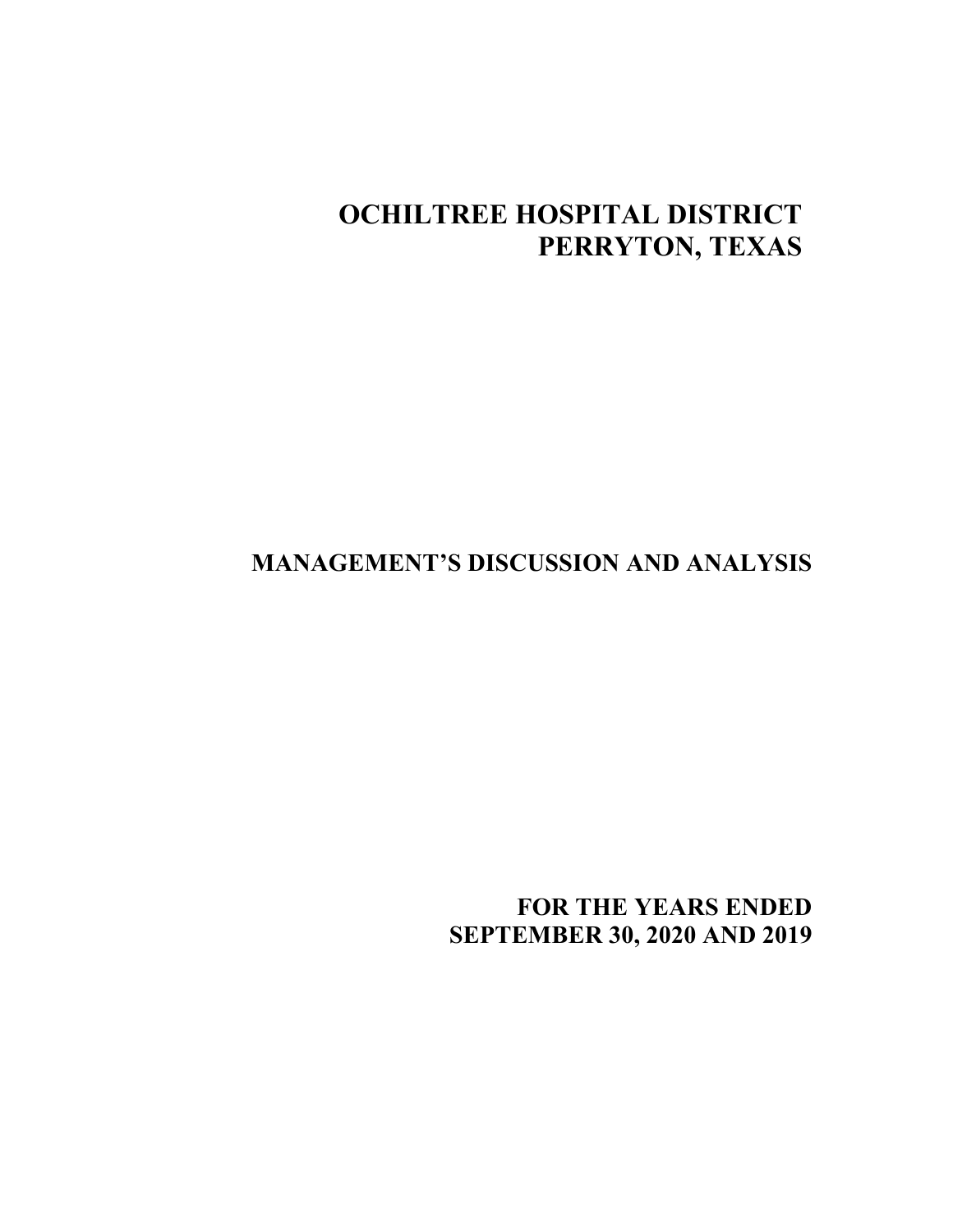# **OCHILTREE HOSPITAL DISTRICT PERRYTON, TEXAS**

# **MANAGEMENT'S DISCUSSION AND ANALYSIS**

**FOR THE YEARS ENDED SEPTEMBER 30, 2020 AND 2019**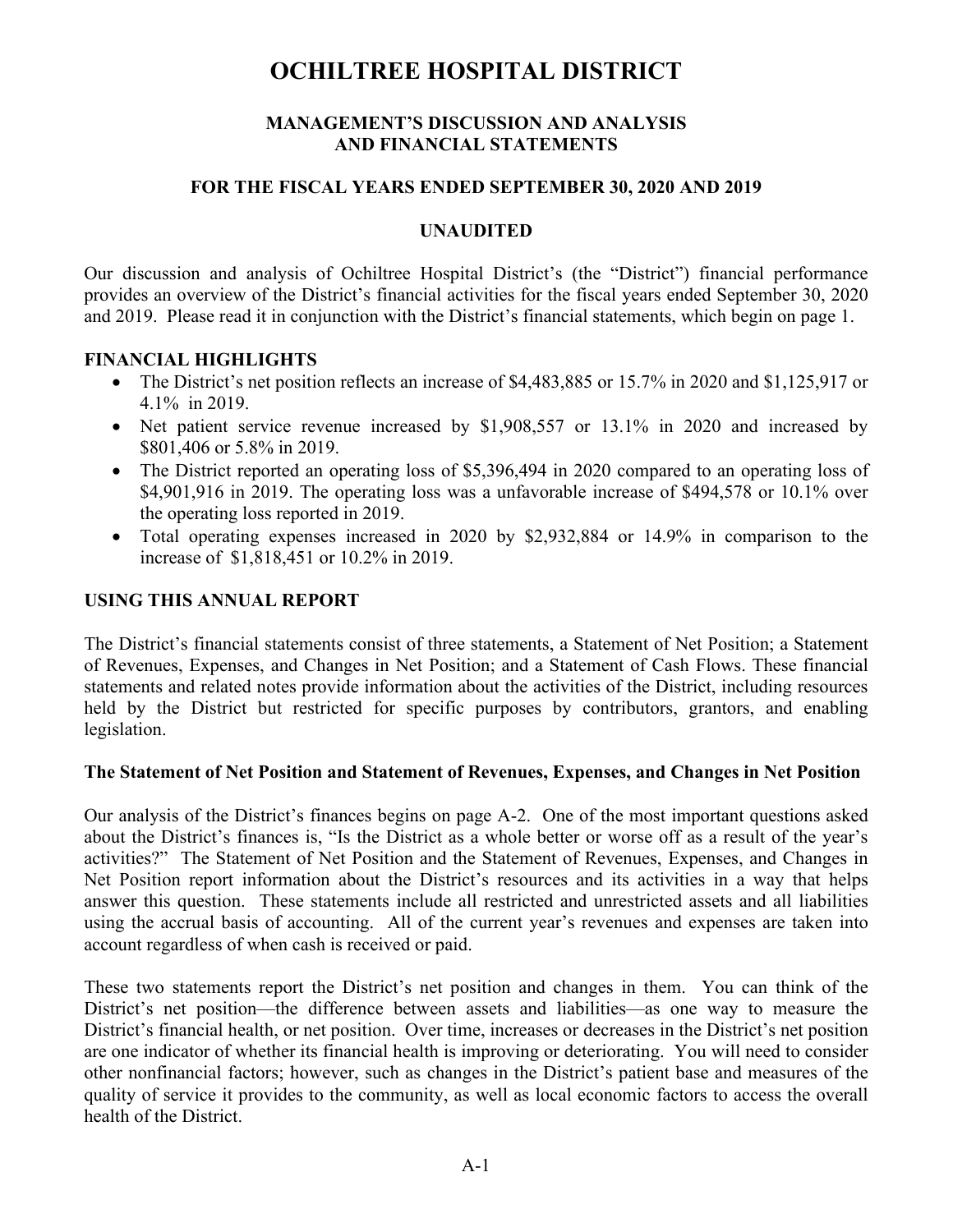## **MANAGEMENT'S DISCUSSION AND ANALYSIS AND FINANCIAL STATEMENTS**

## **FOR THE FISCAL YEARS ENDED SEPTEMBER 30, 2020 AND 2019**

#### **UNAUDITED**

Our discussion and analysis of Ochiltree Hospital District's (the "District") financial performance provides an overview of the District's financial activities for the fiscal years ended September 30, 2020 and 2019. Please read it in conjunction with the District's financial statements, which begin on page 1.

# **FINANCIAL HIGHLIGHTS**

- The District's net position reflects an increase of \$4,483,885 or 15.7% in 2020 and \$1,125,917 or 4.1% in 2019.
- Net patient service revenue increased by \$1,908,557 or 13.1% in 2020 and increased by \$801,406 or 5.8% in 2019.
- The District reported an operating loss of \$5,396,494 in 2020 compared to an operating loss of \$4,901,916 in 2019. The operating loss was a unfavorable increase of \$494,578 or 10.1% over the operating loss reported in 2019.
- Total operating expenses increased in 2020 by \$2,932,884 or 14.9% in comparison to the increase of \$1,818,451 or 10.2% in 2019.

## **USING THIS ANNUAL REPORT**

The District's financial statements consist of three statements, a Statement of Net Position; a Statement of Revenues, Expenses, and Changes in Net Position; and a Statement of Cash Flows. These financial statements and related notes provide information about the activities of the District, including resources held by the District but restricted for specific purposes by contributors, grantors, and enabling legislation.

#### **The Statement of Net Position and Statement of Revenues, Expenses, and Changes in Net Position**

Our analysis of the District's finances begins on page A-2. One of the most important questions asked about the District's finances is, "Is the District as a whole better or worse off as a result of the year's activities?" The Statement of Net Position and the Statement of Revenues, Expenses, and Changes in Net Position report information about the District's resources and its activities in a way that helps answer this question. These statements include all restricted and unrestricted assets and all liabilities using the accrual basis of accounting. All of the current year's revenues and expenses are taken into account regardless of when cash is received or paid.

These two statements report the District's net position and changes in them. You can think of the District's net position—the difference between assets and liabilities—as one way to measure the District's financial health, or net position. Over time, increases or decreases in the District's net position are one indicator of whether its financial health is improving or deteriorating. You will need to consider other nonfinancial factors; however, such as changes in the District's patient base and measures of the quality of service it provides to the community, as well as local economic factors to access the overall health of the District.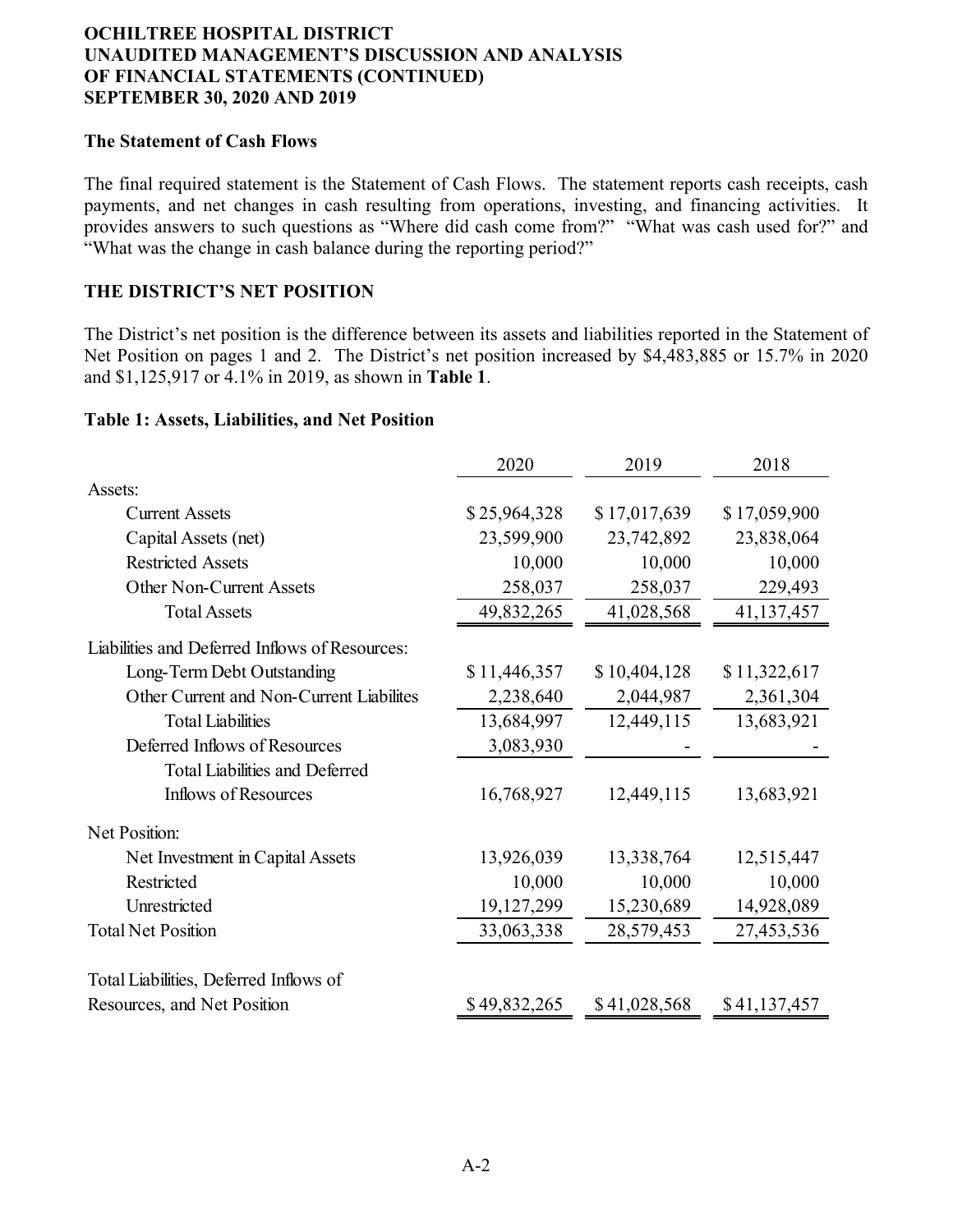#### **The Statement of Cash Flows**

The final required statement is the Statement of Cash Flows. The statement reports cash receipts, cash payments, and net changes in cash resulting from operations, investing, and financing activities. It provides answers to such questions as "Where did cash come from?" "What was cash used for?" and "What was the change in cash balance during the reporting period?"

## **THE DISTRICT'S NET POSITION**

The District's net position is the difference between its assets and liabilities reported in the Statement of Net Position on pages 1 and 2. The District's net position increased by \$4,483,885 or 15.7% in 2020 and \$1,125,917 or 4.1% in 2019, as shown in **Table 1**.

#### **Table 1: Assets, Liabilities, and Net Position**

|                                                | 2020         | 2019         | 2018         |
|------------------------------------------------|--------------|--------------|--------------|
| Assets:                                        |              |              |              |
| <b>Current Assets</b>                          | \$25,964,328 | \$17,017,639 | \$17,059,900 |
| Capital Assets (net)                           | 23,599,900   | 23,742,892   | 23,838,064   |
| <b>Restricted Assets</b>                       | 10,000       | 10,000       | 10,000       |
| <b>Other Non-Current Assets</b>                | 258,037      | 258,037      | 229,493      |
| <b>Total Assets</b>                            | 49,832,265   | 41,028,568   | 41,137,457   |
| Liabilities and Deferred Inflows of Resources: |              |              |              |
| Long-Term Debt Outstanding                     | \$11,446,357 | \$10,404,128 | \$11,322,617 |
| Other Current and Non-Current Liabilites       | 2,238,640    | 2,044,987    | 2,361,304    |
| <b>Total Liabilities</b>                       | 13,684,997   | 12,449,115   | 13,683,921   |
| Deferred Inflows of Resources                  | 3,083,930    |              |              |
| <b>Total Liabilities and Deferred</b>          |              |              |              |
| Inflows of Resources                           | 16,768,927   | 12,449,115   | 13,683,921   |
| Net Position:                                  |              |              |              |
| Net Investment in Capital Assets               | 13,926,039   | 13,338,764   | 12,515,447   |
| Restricted                                     | 10,000       | 10,000       | 10,000       |
| Unrestricted                                   | 19,127,299   | 15,230,689   | 14,928,089   |
| <b>Total Net Position</b>                      | 33,063,338   | 28,579,453   | 27,453,536   |
| Total Liabilities, Deferred Inflows of         |              |              |              |
| Resources, and Net Position                    | \$49,832,265 | \$41,028,568 | \$41,137,457 |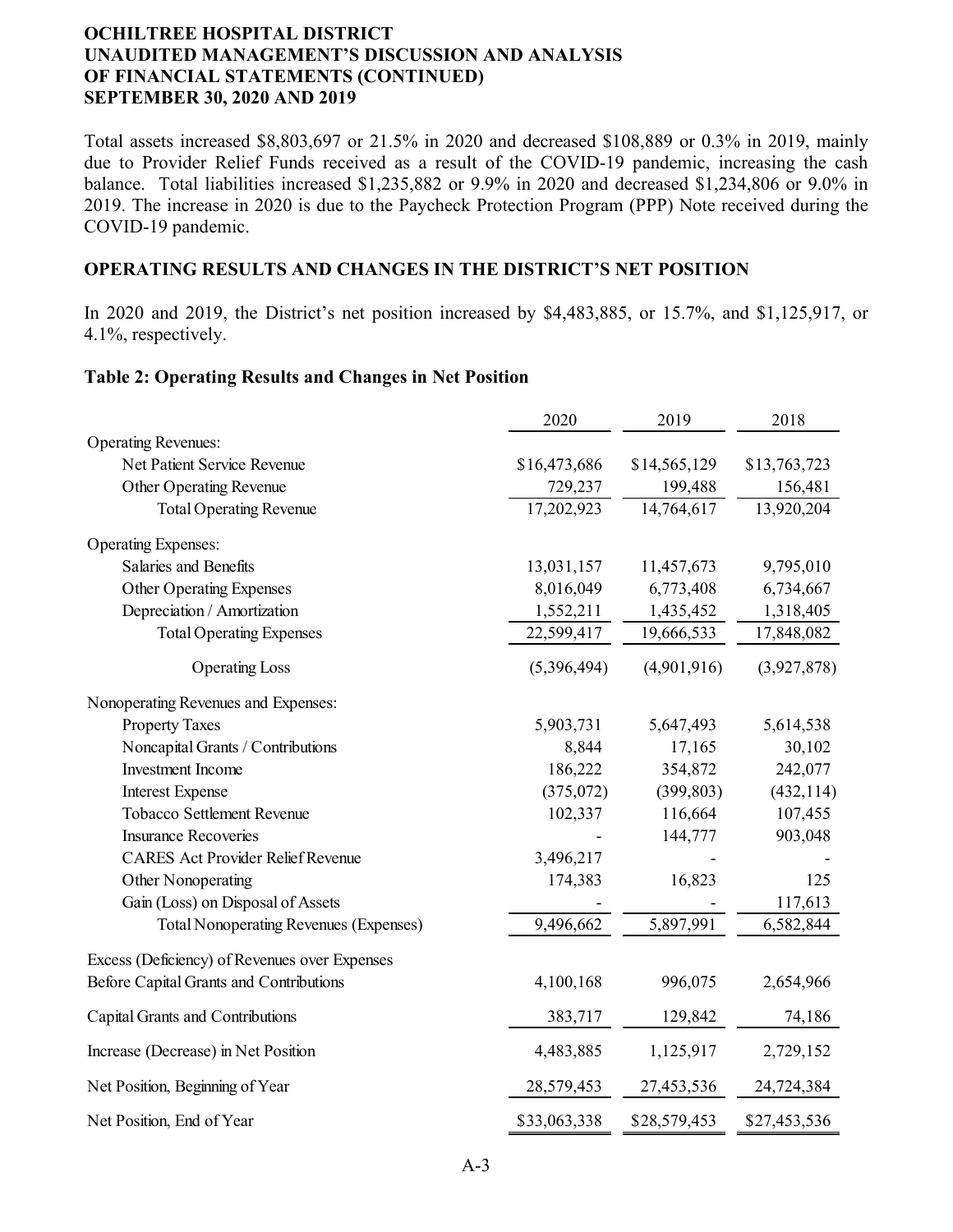Total assets increased \$8,803,697 or 21.5% in 2020 and decreased \$108,889 or 0.3% in 2019, mainly due to Provider Relief Funds received as a result of the COVID-19 pandemic, increasing the cash balance. Total liabilities increased \$1,235,882 or 9.9% in 2020 and decreased \$1,234,806 or 9.0% in 2019. The increase in 2020 is due to the Paycheck Protection Program (PPP) Note received during the COVID-19 pandemic.

#### **OPERATING RESULTS AND CHANGES IN THE DISTRICT'S NET POSITION**

In 2020 and 2019, the District's net position increased by \$4,483,885, or 15.7%, and \$1,125,917, or 4.1%, respectively.

#### **Table 2: Operating Results and Changes in Net Position**

|                                               | 2020         | 2019         | 2018         |
|-----------------------------------------------|--------------|--------------|--------------|
| <b>Operating Revenues:</b>                    |              |              |              |
| Net Patient Service Revenue                   | \$16,473,686 | \$14,565,129 | \$13,763,723 |
| Other Operating Revenue                       | 729,237      | 199,488      | 156,481      |
| <b>Total Operating Revenue</b>                | 17,202,923   | 14,764,617   | 13,920,204   |
| <b>Operating Expenses:</b>                    |              |              |              |
| Salaries and Benefits                         | 13,031,157   | 11,457,673   | 9,795,010    |
| Other Operating Expenses                      | 8,016,049    | 6,773,408    | 6,734,667    |
| Depreciation / Amortization                   | 1,552,211    | 1,435,452    | 1,318,405    |
| <b>Total Operating Expenses</b>               | 22,599,417   | 19,666,533   | 17,848,082   |
| <b>Operating Loss</b>                         | (5,396,494)  | (4,901,916)  | (3,927,878)  |
| Nonoperating Revenues and Expenses:           |              |              |              |
| <b>Property Taxes</b>                         | 5,903,731    | 5,647,493    | 5,614,538    |
| Noncapital Grants / Contributions             | 8,844        | 17,165       | 30,102       |
| Investment Income                             | 186,222      | 354,872      | 242,077      |
| <b>Interest Expense</b>                       | (375,072)    | (399, 803)   | (432, 114)   |
| Tobacco Settlement Revenue                    | 102,337      | 116,664      | 107,455      |
| <b>Insurance Recoveries</b>                   |              | 144,777      | 903,048      |
| <b>CARES Act Provider Relief Revenue</b>      | 3,496,217    |              |              |
| Other Nonoperating                            | 174,383      | 16,823       | 125          |
| Gain (Loss) on Disposal of Assets             |              |              | 117,613      |
| <b>Total Nonoperating Revenues (Expenses)</b> | 9,496,662    | 5,897,991    | 6,582,844    |
| Excess (Deficiency) of Revenues over Expenses |              |              |              |
| Before Capital Grants and Contributions       | 4,100,168    | 996,075      | 2,654,966    |
| Capital Grants and Contributions              | 383,717      | 129,842      | 74,186       |
| Increase (Decrease) in Net Position           | 4,483,885    | 1,125,917    | 2,729,152    |
| Net Position, Beginning of Year               | 28,579,453   | 27,453,536   | 24,724,384   |
| Net Position, End of Year                     | \$33,063,338 | \$28,579,453 | \$27,453,536 |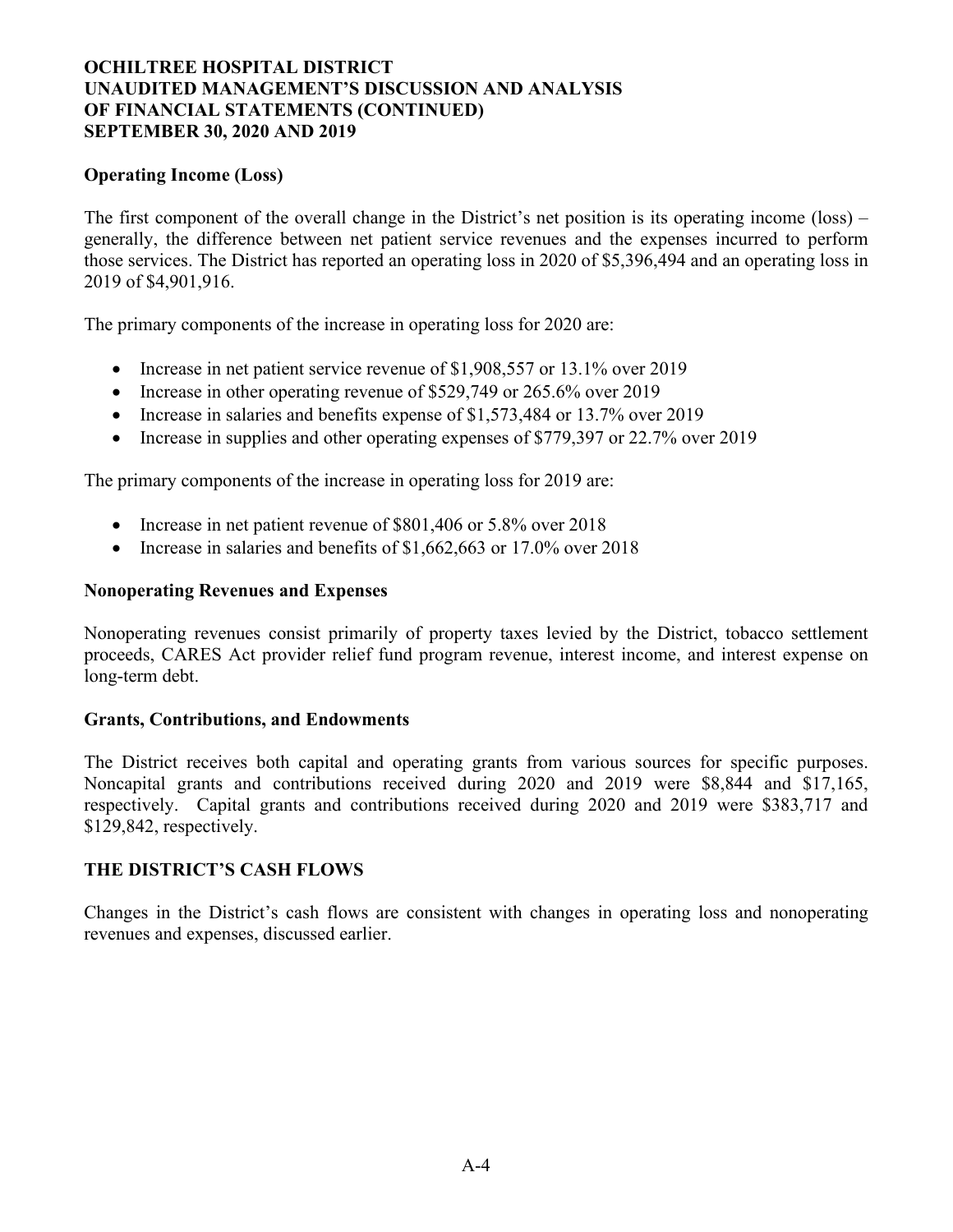# **Operating Income (Loss)**

The first component of the overall change in the District's net position is its operating income (loss) – generally, the difference between net patient service revenues and the expenses incurred to perform those services. The District has reported an operating loss in 2020 of \$5,396,494 and an operating loss in 2019 of \$4,901,916.

The primary components of the increase in operating loss for 2020 are:

- Increase in net patient service revenue of \$1,908,557 or 13.1% over 2019
- Increase in other operating revenue of \$529,749 or 265.6% over 2019
- Increase in salaries and benefits expense of \$1,573,484 or 13.7% over 2019
- Increase in supplies and other operating expenses of \$779,397 or 22.7% over 2019

The primary components of the increase in operating loss for 2019 are:

- Increase in net patient revenue of \$801,406 or 5.8% over 2018
- Increase in salaries and benefits of \$1,662,663 or 17.0% over 2018

#### **Nonoperating Revenues and Expenses**

Nonoperating revenues consist primarily of property taxes levied by the District, tobacco settlement proceeds, CARES Act provider relief fund program revenue, interest income, and interest expense on long-term debt.

#### **Grants, Contributions, and Endowments**

The District receives both capital and operating grants from various sources for specific purposes. Noncapital grants and contributions received during 2020 and 2019 were \$8,844 and \$17,165, respectively. Capital grants and contributions received during 2020 and 2019 were \$383,717 and \$129,842, respectively.

#### **THE DISTRICT'S CASH FLOWS**

Changes in the District's cash flows are consistent with changes in operating loss and nonoperating revenues and expenses, discussed earlier.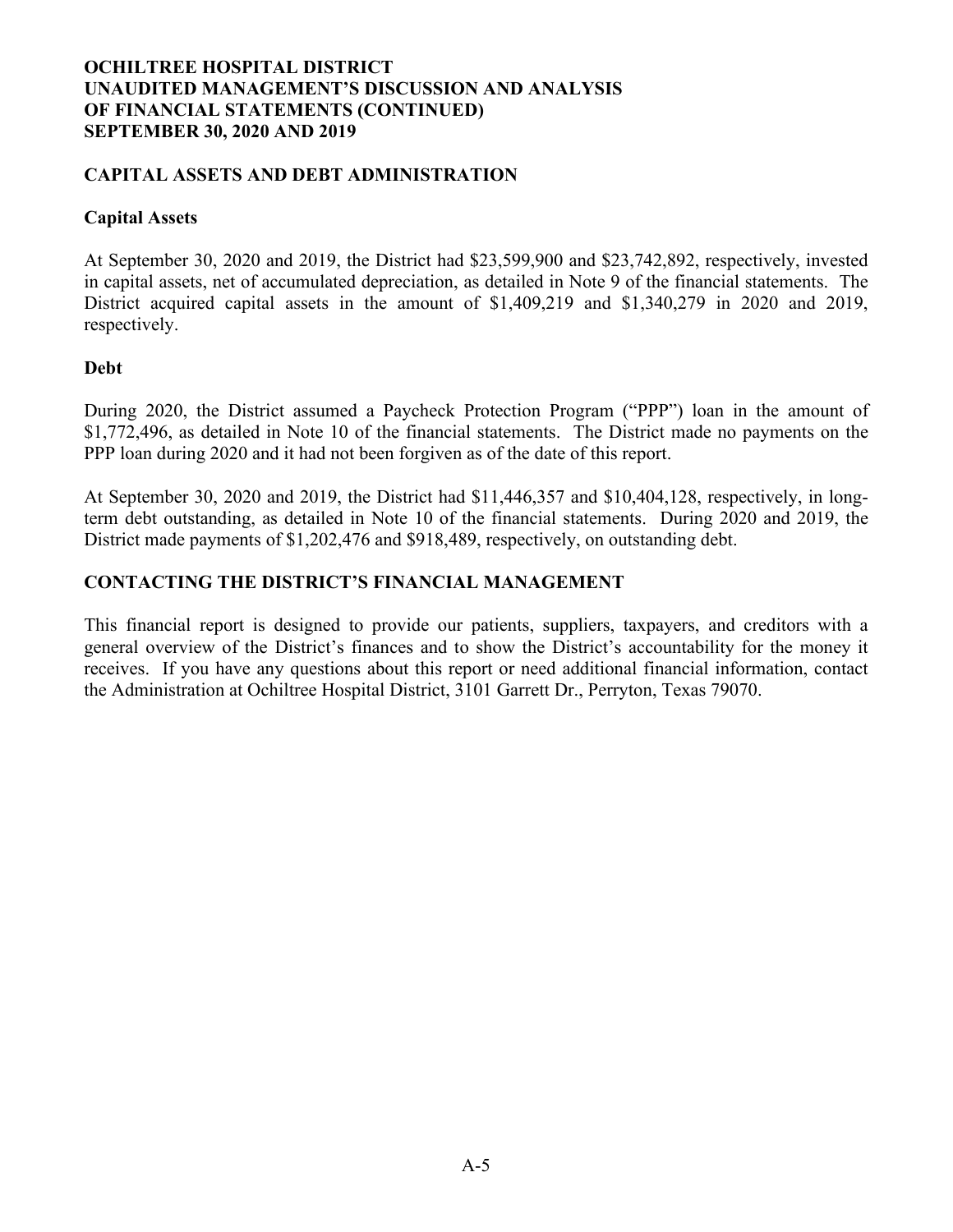## **CAPITAL ASSETS AND DEBT ADMINISTRATION**

#### **Capital Assets**

At September 30, 2020 and 2019, the District had \$23,599,900 and \$23,742,892, respectively, invested in capital assets, net of accumulated depreciation, as detailed in Note 9 of the financial statements. The District acquired capital assets in the amount of \$1,409,219 and \$1,340,279 in 2020 and 2019, respectively.

## **Debt**

During 2020, the District assumed a Paycheck Protection Program ("PPP") loan in the amount of \$1,772,496, as detailed in Note 10 of the financial statements. The District made no payments on the PPP loan during 2020 and it had not been forgiven as of the date of this report.

At September 30, 2020 and 2019, the District had \$11,446,357 and \$10,404,128, respectively, in longterm debt outstanding, as detailed in Note 10 of the financial statements. During 2020 and 2019, the District made payments of \$1,202,476 and \$918,489, respectively, on outstanding debt.

# **CONTACTING THE DISTRICT'S FINANCIAL MANAGEMENT**

This financial report is designed to provide our patients, suppliers, taxpayers, and creditors with a general overview of the District's finances and to show the District's accountability for the money it receives. If you have any questions about this report or need additional financial information, contact the Administration at Ochiltree Hospital District, 3101 Garrett Dr., Perryton, Texas 79070.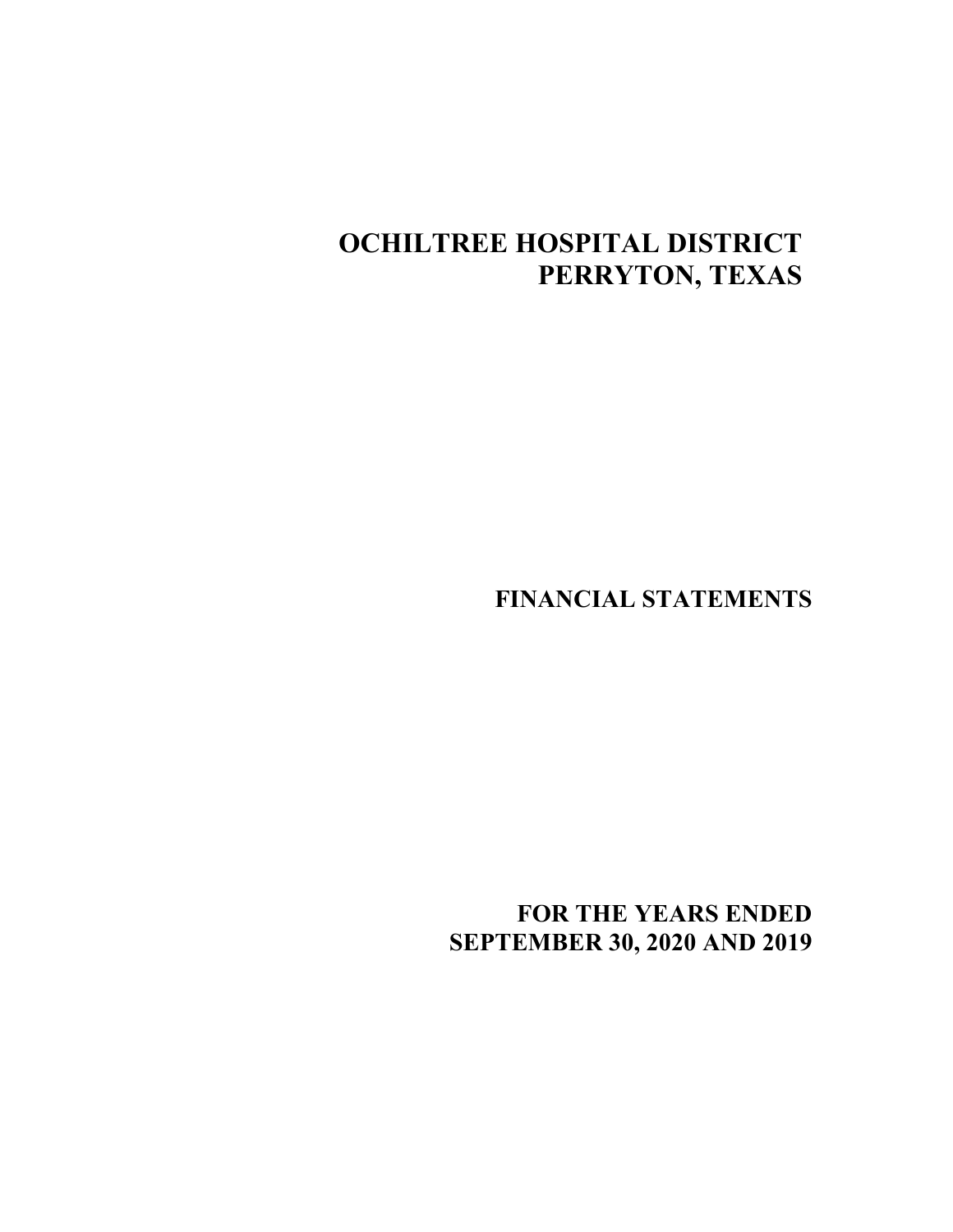# **OCHILTREE HOSPITAL DISTRICT PERRYTON, TEXAS**

**FINANCIAL STATEMENTS** 

**FOR THE YEARS ENDED SEPTEMBER 30, 2020 AND 2019**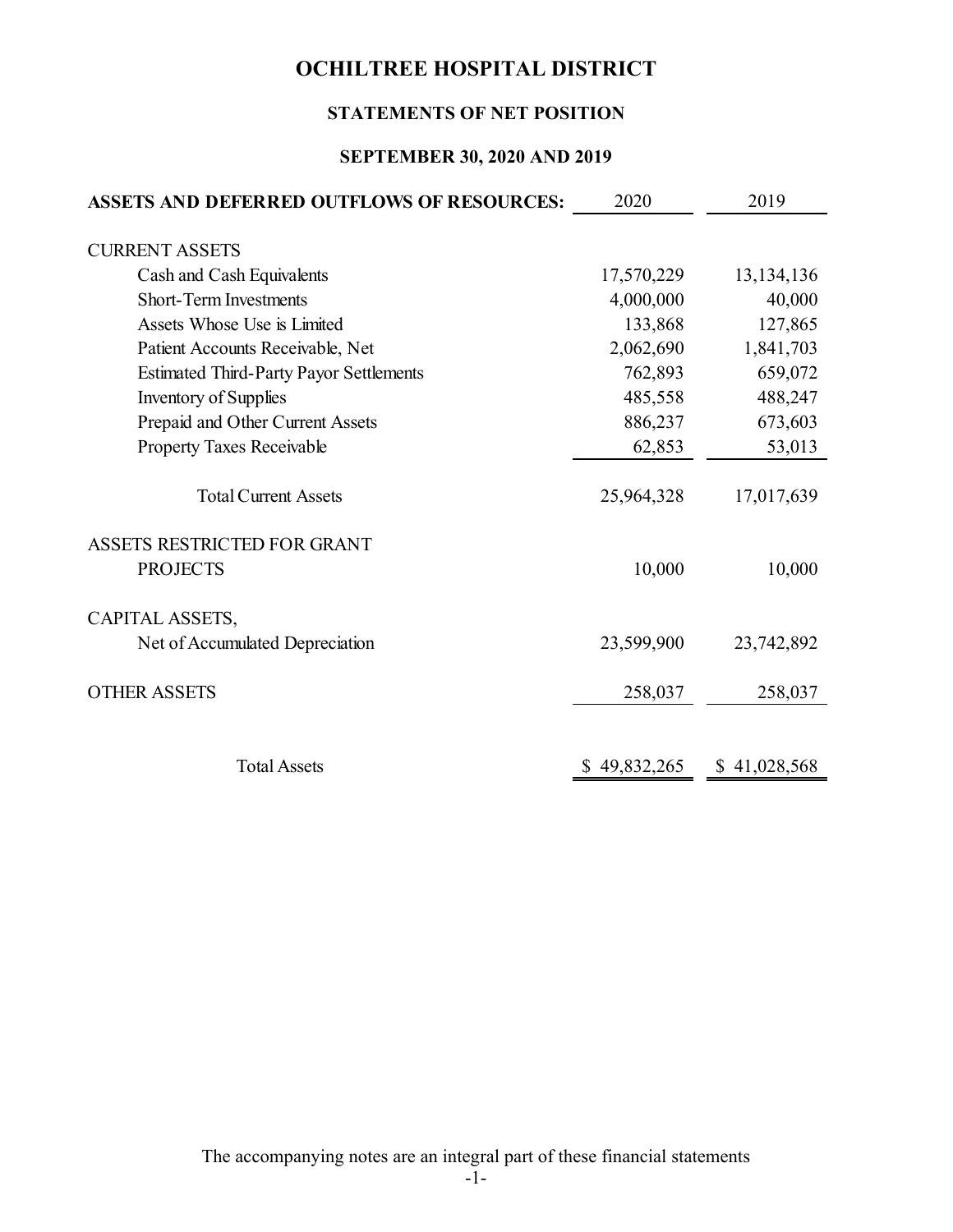# **STATEMENTS OF NET POSITION**

# **SEPTEMBER 30, 2020 AND 2019**

| <b>ASSETS AND DEFERRED OUTFLOWS OF RESOURCES:</b> | 2020         | 2019         |
|---------------------------------------------------|--------------|--------------|
| <b>CURRENT ASSETS</b>                             |              |              |
| Cash and Cash Equivalents                         | 17,570,229   | 13, 134, 136 |
| <b>Short-Term Investments</b>                     |              |              |
|                                                   | 4,000,000    | 40,000       |
| Assets Whose Use is Limited                       | 133,868      | 127,865      |
| Patient Accounts Receivable, Net                  | 2,062,690    | 1,841,703    |
| <b>Estimated Third-Party Payor Settlements</b>    | 762,893      | 659,072      |
| Inventory of Supplies                             | 485,558      | 488,247      |
| Prepaid and Other Current Assets                  | 886,237      | 673,603      |
| <b>Property Taxes Receivable</b>                  | 62,853       | 53,013       |
| <b>Total Current Assets</b>                       | 25,964,328   | 17,017,639   |
| ASSETS RESTRICTED FOR GRANT                       |              |              |
| <b>PROJECTS</b>                                   | 10,000       | 10,000       |
| CAPITAL ASSETS,                                   |              |              |
| Net of Accumulated Depreciation                   | 23,599,900   | 23,742,892   |
| <b>OTHER ASSETS</b>                               | 258,037      | 258,037      |
|                                                   |              |              |
| <b>Total Assets</b>                               | \$49,832,265 | \$41,028,568 |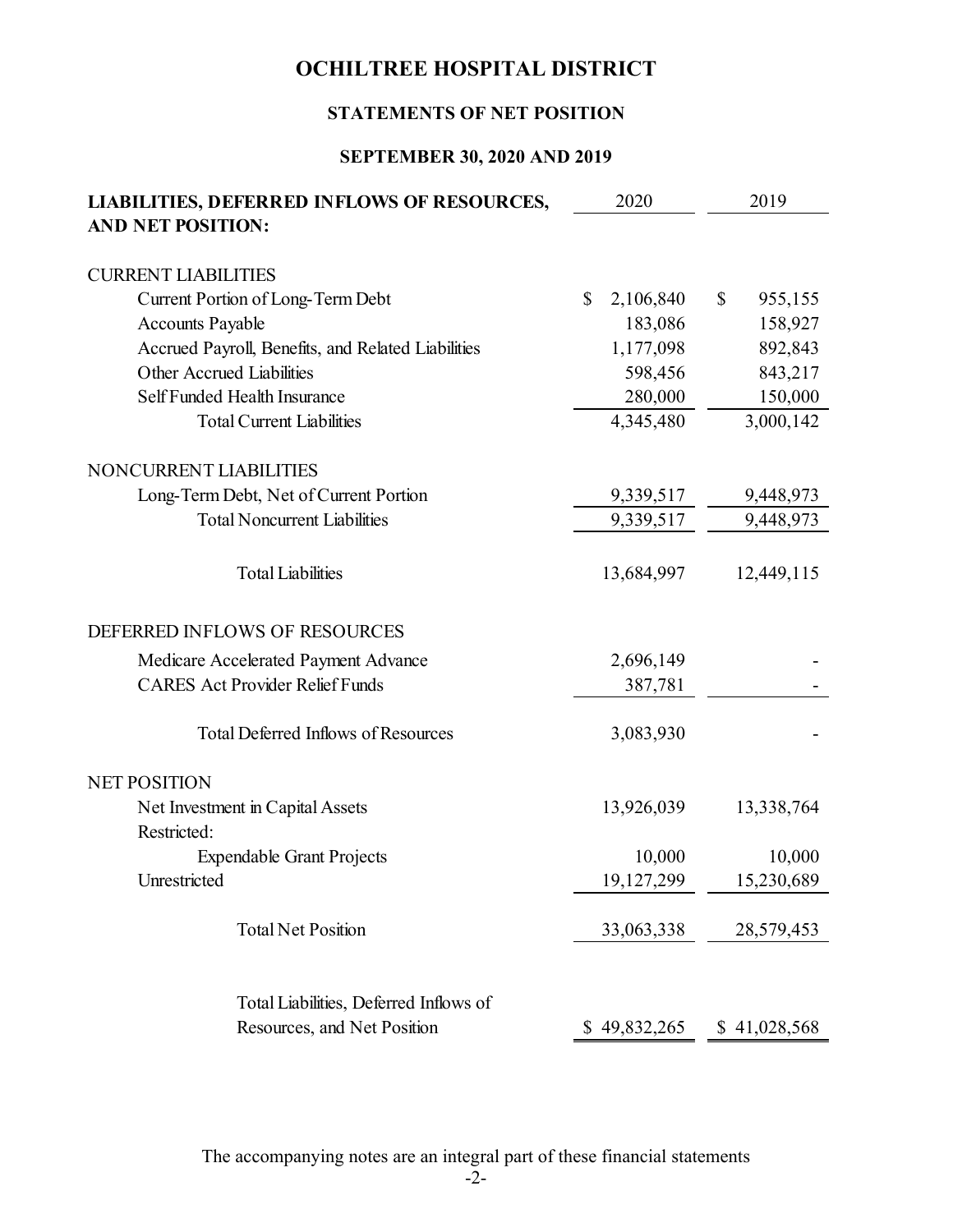# **STATEMENTS OF NET POSITION**

# **SEPTEMBER 30, 2020 AND 2019**

| <b>LIABILITIES, DEFERRED INFLOWS OF RESOURCES,</b> | 2020                      | 2019                        |
|----------------------------------------------------|---------------------------|-----------------------------|
| <b>AND NET POSITION:</b>                           |                           |                             |
| <b>CURRENT LIABILITIES</b>                         |                           |                             |
| Current Portion of Long-Term Debt                  | $\mathbb{S}$<br>2,106,840 | \$<br>955,155               |
| <b>Accounts Payable</b>                            | 183,086                   | 158,927                     |
| Accrued Payroll, Benefits, and Related Liabilities | 1,177,098                 | 892,843                     |
| Other Accrued Liabilities                          | 598,456                   | 843,217                     |
| Self Funded Health Insurance                       | 280,000                   | 150,000                     |
| <b>Total Current Liabilities</b>                   | 4,345,480                 | 3,000,142                   |
| NONCURRENT LIABILITIES                             |                           |                             |
| Long-Term Debt, Net of Current Portion             | 9,339,517                 | 9,448,973                   |
| <b>Total Noncurrent Liabilities</b>                | 9,339,517                 | 9,448,973                   |
| <b>Total Liabilities</b>                           | 13,684,997                | 12,449,115                  |
| DEFERRED INFLOWS OF RESOURCES                      |                           |                             |
| Medicare Accelerated Payment Advance               | 2,696,149                 |                             |
| <b>CARES Act Provider Relief Funds</b>             | 387,781                   |                             |
| <b>Total Deferred Inflows of Resources</b>         | 3,083,930                 |                             |
| <b>NET POSITION</b>                                |                           |                             |
| Net Investment in Capital Assets                   | 13,926,039                | 13,338,764                  |
| Restricted:                                        |                           |                             |
| <b>Expendable Grant Projects</b>                   | 10,000                    | 10,000                      |
| Unrestricted                                       | 19,127,299                | 15,230,689                  |
| <b>Total Net Position</b>                          | 33,063,338                | 28,579,453                  |
| Total Liabilities, Deferred Inflows of             |                           |                             |
| Resources, and Net Position                        |                           | $$49,832,265$ $$41,028,568$ |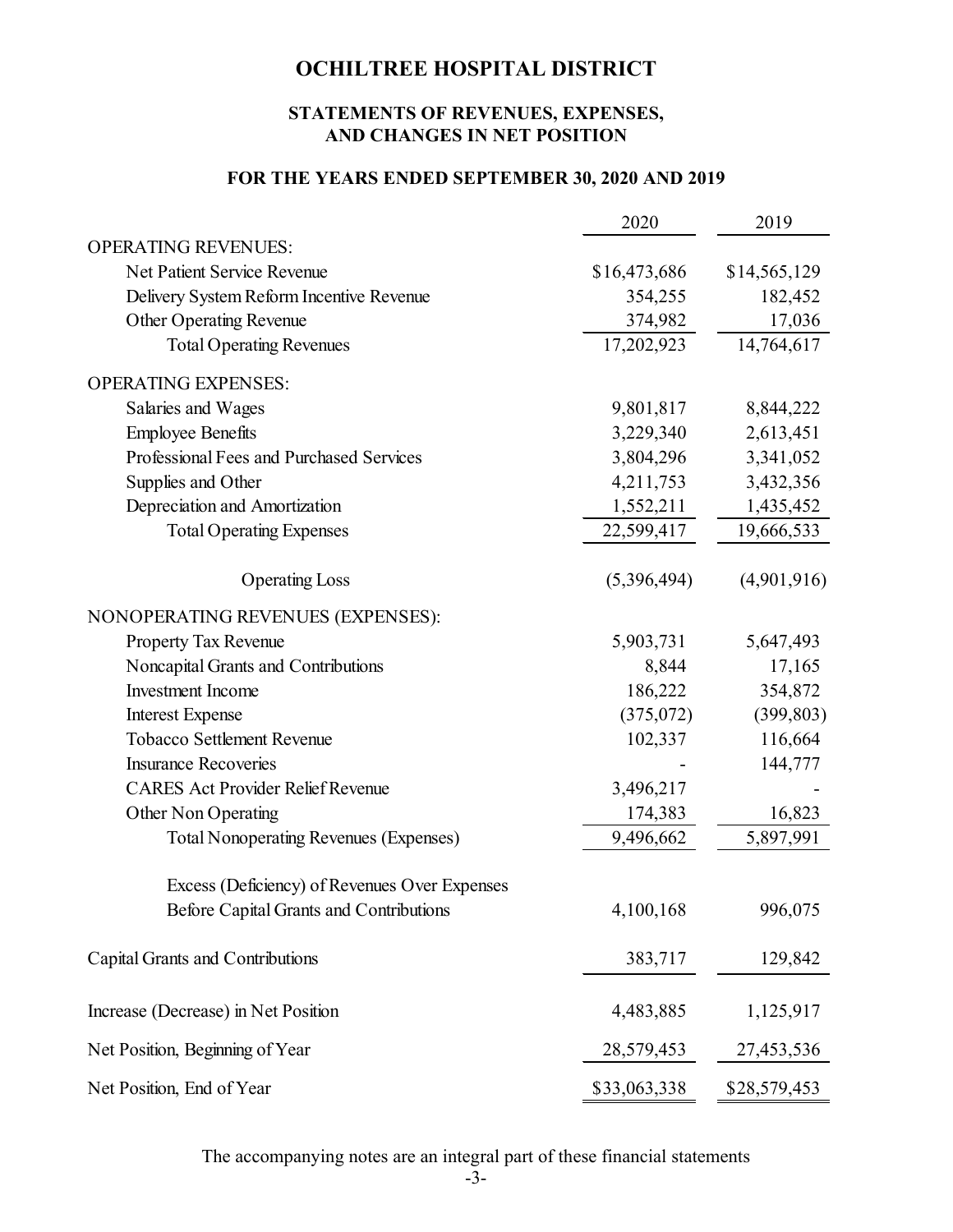# **STATEMENTS OF REVENUES, EXPENSES, AND CHANGES IN NET POSITION**

# **FOR THE YEARS ENDED SEPTEMBER 30, 2020 AND 2019**

|                                               | 2020         | 2019         |
|-----------------------------------------------|--------------|--------------|
| <b>OPERATING REVENUES:</b>                    |              |              |
| Net Patient Service Revenue                   | \$16,473,686 | \$14,565,129 |
| Delivery System Reform Incentive Revenue      | 354,255      | 182,452      |
| Other Operating Revenue                       | 374,982      | 17,036       |
| <b>Total Operating Revenues</b>               | 17,202,923   | 14,764,617   |
| <b>OPERATING EXPENSES:</b>                    |              |              |
| Salaries and Wages                            | 9,801,817    | 8,844,222    |
| <b>Employee Benefits</b>                      | 3,229,340    | 2,613,451    |
| Professional Fees and Purchased Services      | 3,804,296    | 3,341,052    |
| Supplies and Other                            | 4,211,753    | 3,432,356    |
| Depreciation and Amortization                 | 1,552,211    | 1,435,452    |
| <b>Total Operating Expenses</b>               | 22,599,417   | 19,666,533   |
| <b>Operating Loss</b>                         | (5,396,494)  | (4,901,916)  |
| NONOPERATING REVENUES (EXPENSES):             |              |              |
| <b>Property Tax Revenue</b>                   | 5,903,731    | 5,647,493    |
| Noncapital Grants and Contributions           | 8,844        | 17,165       |
| <b>Investment Income</b>                      | 186,222      | 354,872      |
| <b>Interest Expense</b>                       | (375,072)    | (399, 803)   |
| <b>Tobacco Settlement Revenue</b>             | 102,337      | 116,664      |
| <b>Insurance Recoveries</b>                   |              | 144,777      |
| <b>CARES Act Provider Relief Revenue</b>      | 3,496,217    |              |
| Other Non Operating                           | 174,383      | 16,823       |
| <b>Total Nonoperating Revenues (Expenses)</b> | 9,496,662    | 5,897,991    |
| Excess (Deficiency) of Revenues Over Expenses |              |              |
| Before Capital Grants and Contributions       | 4,100,168    | 996,075      |
| Capital Grants and Contributions              | 383,717      | 129,842      |
| Increase (Decrease) in Net Position           | 4,483,885    | 1,125,917    |
| Net Position, Beginning of Year               | 28,579,453   | 27,453,536   |
| Net Position, End of Year                     | \$33,063,338 | \$28,579,453 |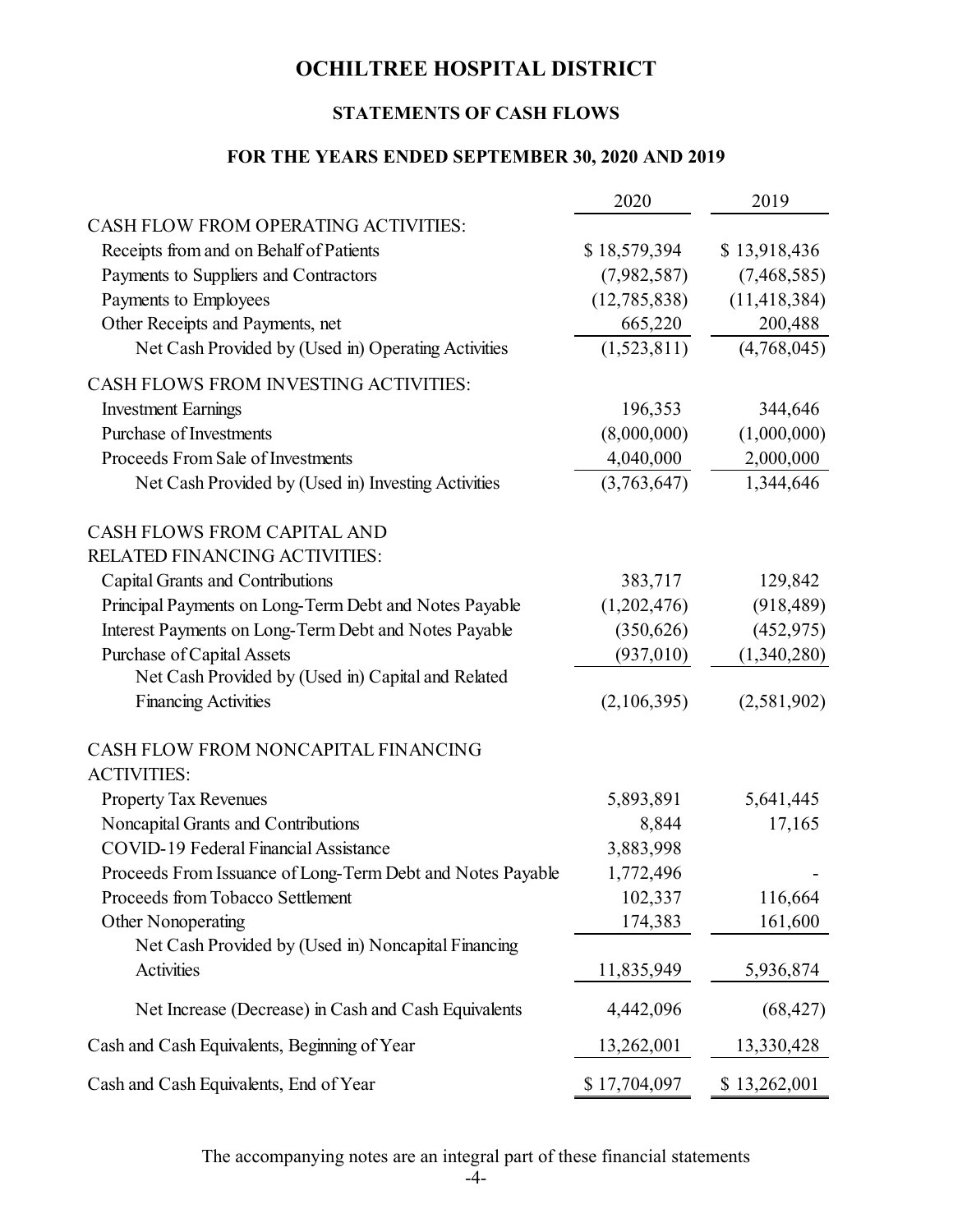# **STATEMENTS OF CASH FLOWS**

# **FOR THE YEARS ENDED SEPTEMBER 30, 2020 AND 2019**

|                                                            | 2020           | 2019           |
|------------------------------------------------------------|----------------|----------------|
| CASH FLOW FROM OPERATING ACTIVITIES:                       |                |                |
| Receipts from and on Behalf of Patients                    | \$18,579,394   | \$13,918,436   |
| Payments to Suppliers and Contractors                      | (7,982,587)    | (7, 468, 585)  |
| Payments to Employees                                      | (12, 785, 838) | (11, 418, 384) |
| Other Receipts and Payments, net                           | 665,220        | 200,488        |
| Net Cash Provided by (Used in) Operating Activities        | (1,523,811)    | (4,768,045)    |
| CASH FLOWS FROM INVESTING ACTIVITIES:                      |                |                |
| <b>Investment Earnings</b>                                 | 196,353        | 344,646        |
| Purchase of Investments                                    | (8,000,000)    | (1,000,000)    |
| Proceeds From Sale of Investments                          | 4,040,000      | 2,000,000      |
| Net Cash Provided by (Used in) Investing Activities        | (3,763,647)    | 1,344,646      |
| <b>CASH FLOWS FROM CAPITAL AND</b>                         |                |                |
| <b>RELATED FINANCING ACTIVITIES:</b>                       |                |                |
| Capital Grants and Contributions                           | 383,717        | 129,842        |
| Principal Payments on Long-Term Debt and Notes Payable     | (1,202,476)    | (918, 489)     |
| Interest Payments on Long-Term Debt and Notes Payable      | (350, 626)     | (452, 975)     |
| Purchase of Capital Assets                                 | (937, 010)     | (1,340,280)    |
| Net Cash Provided by (Used in) Capital and Related         |                |                |
| <b>Financing Activities</b>                                | (2,106,395)    | (2,581,902)    |
| CASH FLOW FROM NONCAPITAL FINANCING                        |                |                |
| <b>ACTIVITIES:</b>                                         |                |                |
| <b>Property Tax Revenues</b>                               | 5,893,891      | 5,641,445      |
| Noncapital Grants and Contributions                        | 8,844          | 17,165         |
| COVID-19 Federal Financial Assistance                      | 3,883,998      |                |
| Proceeds From Issuance of Long-Term Debt and Notes Payable | 1,772,496      |                |
| Proceeds from Tobacco Settlement                           | 102,337        | 116,664        |
| Other Nonoperating                                         | 174,383        | 161,600        |
| Net Cash Provided by (Used in) Noncapital Financing        |                |                |
| Activities                                                 | 11,835,949     | 5,936,874      |
| Net Increase (Decrease) in Cash and Cash Equivalents       | 4,442,096      | (68, 427)      |
| Cash and Cash Equivalents, Beginning of Year               | 13,262,001     | 13,330,428     |
| Cash and Cash Equivalents, End of Year                     | \$17,704,097   | \$13,262,001   |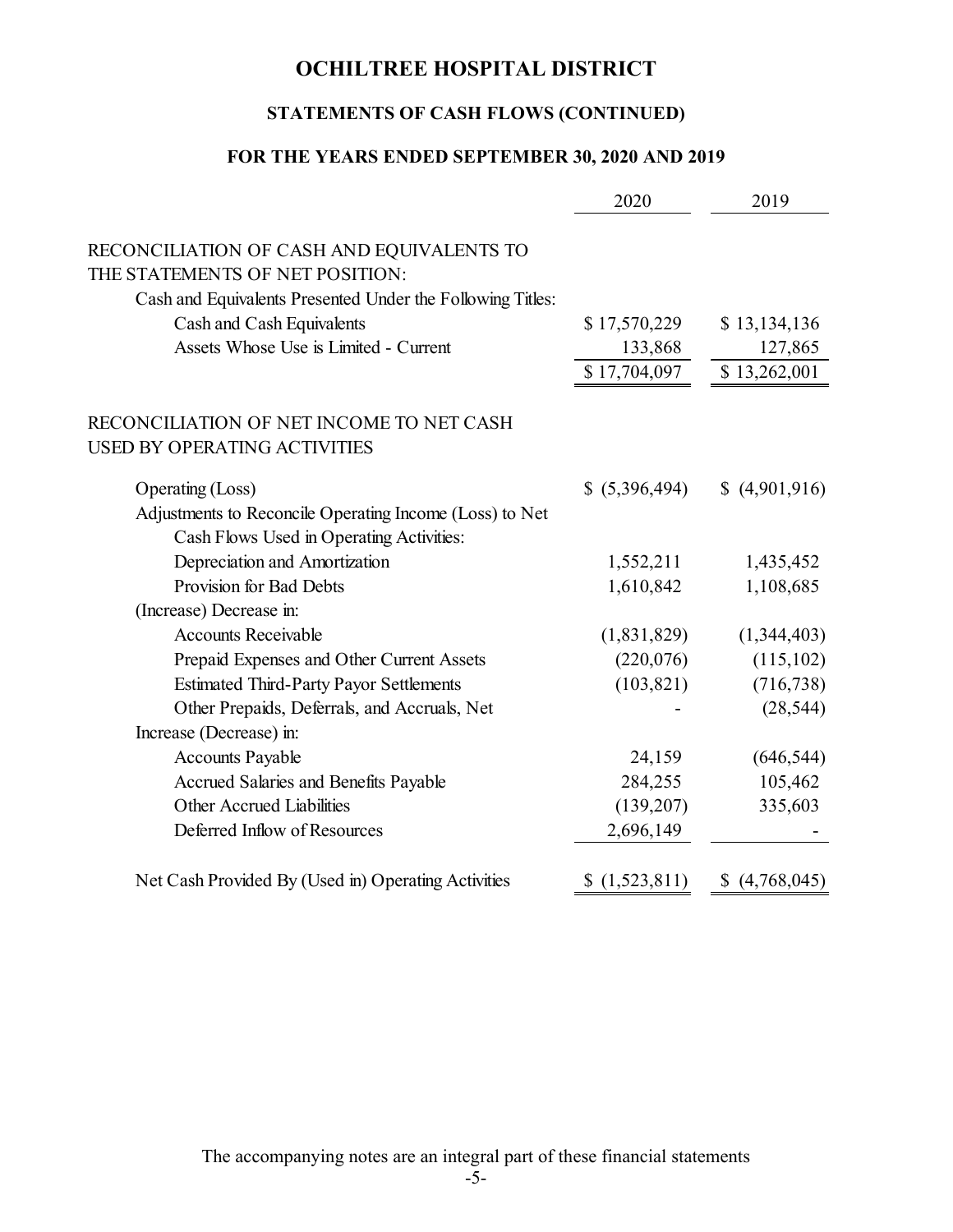# **STATEMENTS OF CASH FLOWS (CONTINUED)**

# **FOR THE YEARS ENDED SEPTEMBER 30, 2020 AND 2019**

| 2020           | 2019                                                   |
|----------------|--------------------------------------------------------|
|                |                                                        |
|                |                                                        |
|                |                                                        |
|                |                                                        |
|                | \$13,134,136                                           |
|                | 127,865                                                |
|                | \$13,262,001                                           |
|                |                                                        |
|                |                                                        |
| \$ (5,396,494) | \$(4,901,916)                                          |
|                |                                                        |
|                |                                                        |
| 1,552,211      | 1,435,452                                              |
| 1,610,842      | 1,108,685                                              |
|                |                                                        |
| (1,831,829)    | (1,344,403)                                            |
| (220,076)      | (115, 102)                                             |
| (103, 821)     | (716, 738)                                             |
|                | (28, 544)                                              |
|                |                                                        |
| 24,159         | (646, 544)                                             |
| 284,255        | 105,462                                                |
| (139,207)      | 335,603                                                |
| 2,696,149      |                                                        |
|                | (4,768,045)<br><sup>\$</sup>                           |
|                | \$17,570,229<br>133,868<br>\$17,704,097<br>(1,523,811) |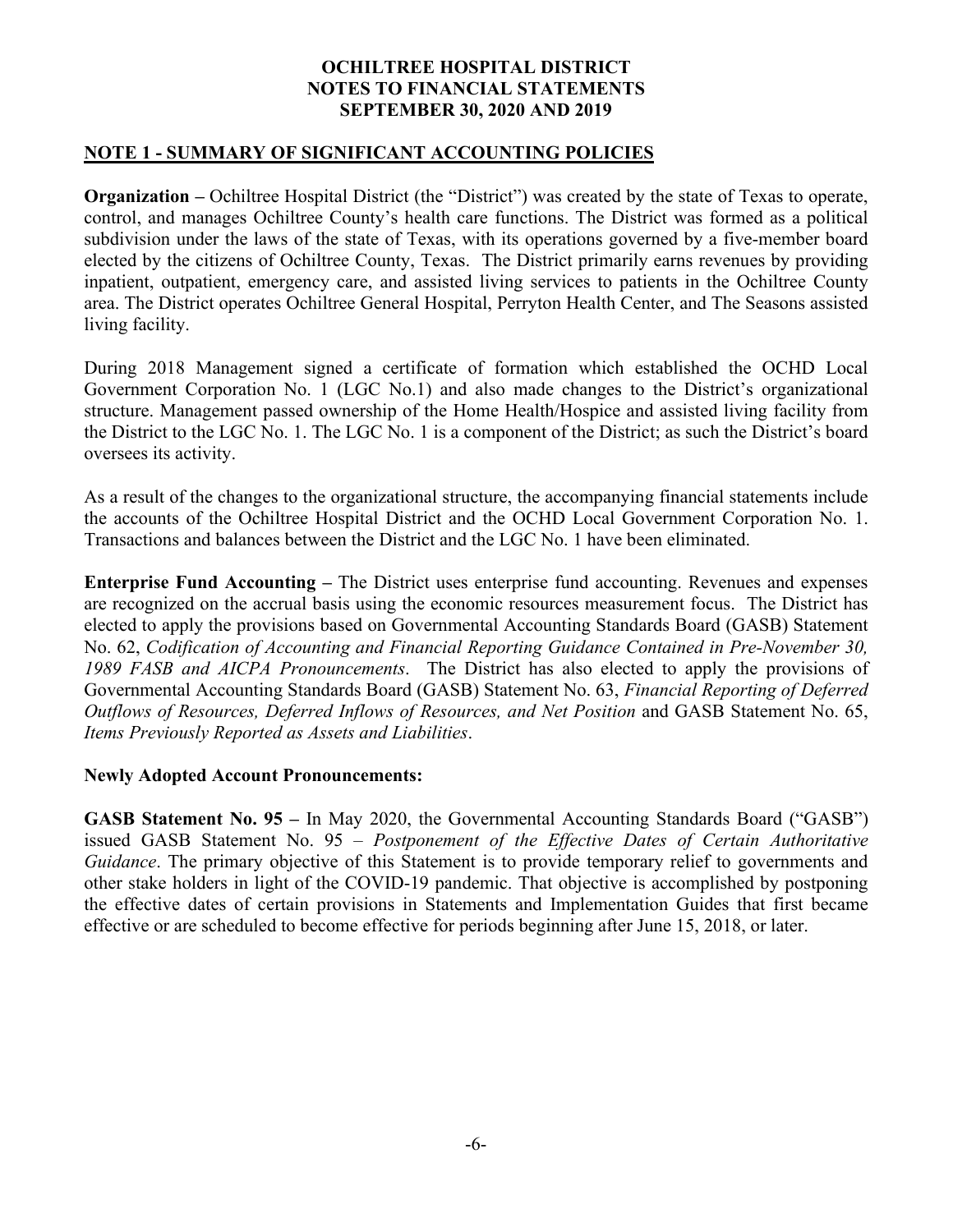#### **NOTE 1 - SUMMARY OF SIGNIFICANT ACCOUNTING POLICIES**

**Organization –** Ochiltree Hospital District (the "District") was created by the state of Texas to operate, control, and manages Ochiltree County's health care functions. The District was formed as a political subdivision under the laws of the state of Texas, with its operations governed by a five-member board elected by the citizens of Ochiltree County, Texas. The District primarily earns revenues by providing inpatient, outpatient, emergency care, and assisted living services to patients in the Ochiltree County area. The District operates Ochiltree General Hospital, Perryton Health Center, and The Seasons assisted living facility.

During 2018 Management signed a certificate of formation which established the OCHD Local Government Corporation No. 1 (LGC No.1) and also made changes to the District's organizational structure. Management passed ownership of the Home Health/Hospice and assisted living facility from the District to the LGC No. 1. The LGC No. 1 is a component of the District; as such the District's board oversees its activity.

As a result of the changes to the organizational structure, the accompanying financial statements include the accounts of the Ochiltree Hospital District and the OCHD Local Government Corporation No. 1. Transactions and balances between the District and the LGC No. 1 have been eliminated.

**Enterprise Fund Accounting –** The District uses enterprise fund accounting. Revenues and expenses are recognized on the accrual basis using the economic resources measurement focus. The District has elected to apply the provisions based on Governmental Accounting Standards Board (GASB) Statement No. 62, *Codification of Accounting and Financial Reporting Guidance Contained in Pre-November 30, 1989 FASB and AICPA Pronouncements*. The District has also elected to apply the provisions of Governmental Accounting Standards Board (GASB) Statement No. 63, *Financial Reporting of Deferred Outflows of Resources, Deferred Inflows of Resources, and Net Position* and GASB Statement No. 65, *Items Previously Reported as Assets and Liabilities*.

#### **Newly Adopted Account Pronouncements:**

**GASB Statement No. 95 –** In May 2020, the Governmental Accounting Standards Board ("GASB") issued GASB Statement No. 95 – *Postponement of the Effective Dates of Certain Authoritative Guidance*. The primary objective of this Statement is to provide temporary relief to governments and other stake holders in light of the COVID-19 pandemic. That objective is accomplished by postponing the effective dates of certain provisions in Statements and Implementation Guides that first became effective or are scheduled to become effective for periods beginning after June 15, 2018, or later.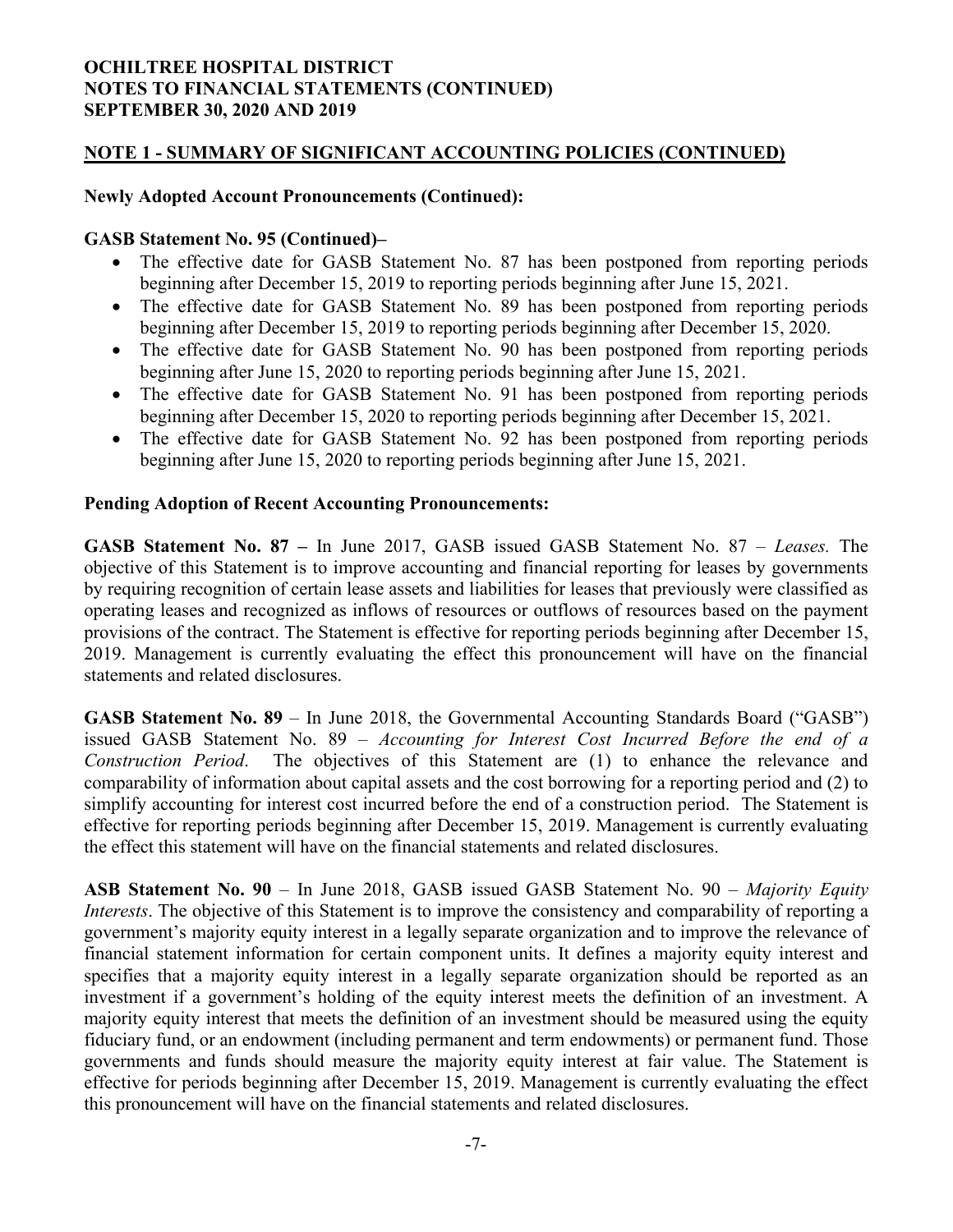## **NOTE 1 - SUMMARY OF SIGNIFICANT ACCOUNTING POLICIES (CONTINUED)**

#### **Newly Adopted Account Pronouncements (Continued):**

#### **GASB Statement No. 95 (Continued)–**

- The effective date for GASB Statement No. 87 has been postponed from reporting periods beginning after December 15, 2019 to reporting periods beginning after June 15, 2021.
- The effective date for GASB Statement No. 89 has been postponed from reporting periods beginning after December 15, 2019 to reporting periods beginning after December 15, 2020.
- The effective date for GASB Statement No. 90 has been postponed from reporting periods beginning after June 15, 2020 to reporting periods beginning after June 15, 2021.
- The effective date for GASB Statement No. 91 has been postponed from reporting periods beginning after December 15, 2020 to reporting periods beginning after December 15, 2021.
- The effective date for GASB Statement No. 92 has been postponed from reporting periods beginning after June 15, 2020 to reporting periods beginning after June 15, 2021.

#### **Pending Adoption of Recent Accounting Pronouncements:**

**GASB Statement No. 87 –** In June 2017, GASB issued GASB Statement No. 87 – *Leases.* The objective of this Statement is to improve accounting and financial reporting for leases by governments by requiring recognition of certain lease assets and liabilities for leases that previously were classified as operating leases and recognized as inflows of resources or outflows of resources based on the payment provisions of the contract. The Statement is effective for reporting periods beginning after December 15, 2019. Management is currently evaluating the effect this pronouncement will have on the financial statements and related disclosures.

**GASB Statement No. 89** – In June 2018, the Governmental Accounting Standards Board ("GASB") issued GASB Statement No. 89 – *Accounting for Interest Cost Incurred Before the end of a Construction Period*. The objectives of this Statement are (1) to enhance the relevance and comparability of information about capital assets and the cost borrowing for a reporting period and (2) to simplify accounting for interest cost incurred before the end of a construction period. The Statement is effective for reporting periods beginning after December 15, 2019. Management is currently evaluating the effect this statement will have on the financial statements and related disclosures.

**ASB Statement No. 90** – In June 2018, GASB issued GASB Statement No. 90 – *Majority Equity Interests*. The objective of this Statement is to improve the consistency and comparability of reporting a government's majority equity interest in a legally separate organization and to improve the relevance of financial statement information for certain component units. It defines a majority equity interest and specifies that a majority equity interest in a legally separate organization should be reported as an investment if a government's holding of the equity interest meets the definition of an investment. A majority equity interest that meets the definition of an investment should be measured using the equity fiduciary fund, or an endowment (including permanent and term endowments) or permanent fund. Those governments and funds should measure the majority equity interest at fair value. The Statement is effective for periods beginning after December 15, 2019. Management is currently evaluating the effect this pronouncement will have on the financial statements and related disclosures.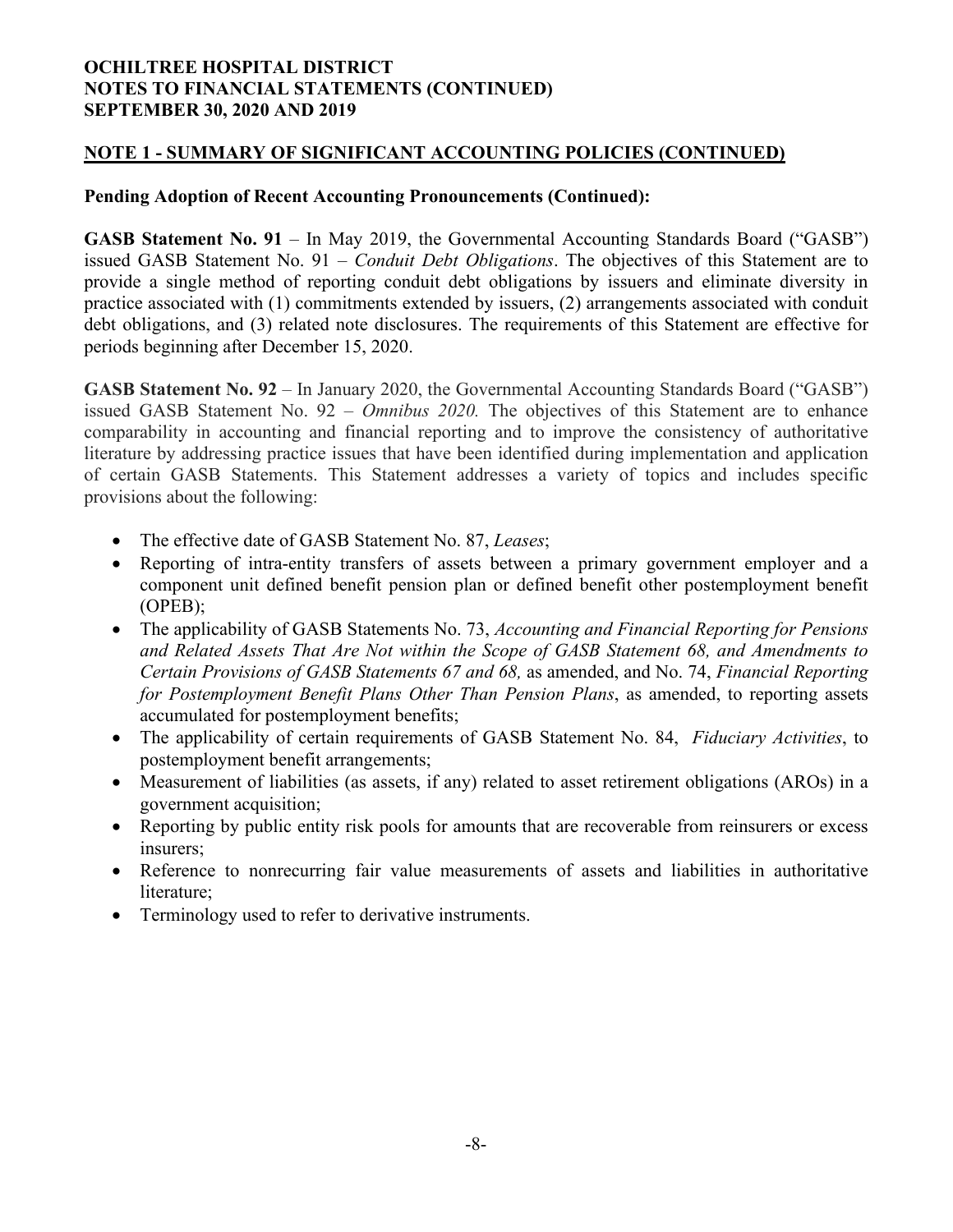## **NOTE 1 - SUMMARY OF SIGNIFICANT ACCOUNTING POLICIES (CONTINUED)**

#### **Pending Adoption of Recent Accounting Pronouncements (Continued):**

**GASB Statement No. 91** – In May 2019, the Governmental Accounting Standards Board ("GASB") issued GASB Statement No. 91 – *Conduit Debt Obligations*. The objectives of this Statement are to provide a single method of reporting conduit debt obligations by issuers and eliminate diversity in practice associated with (1) commitments extended by issuers, (2) arrangements associated with conduit debt obligations, and (3) related note disclosures. The requirements of this Statement are effective for periods beginning after December 15, 2020.

**GASB Statement No. 92** – In January 2020, the Governmental Accounting Standards Board ("GASB") issued GASB Statement No. 92 – *Omnibus 2020.* The objectives of this Statement are to enhance comparability in accounting and financial reporting and to improve the consistency of authoritative literature by addressing practice issues that have been identified during implementation and application of certain GASB Statements. This Statement addresses a variety of topics and includes specific provisions about the following:

- The effective date of GASB Statement No. 87, *Leases*;
- Reporting of intra-entity transfers of assets between a primary government employer and a component unit defined benefit pension plan or defined benefit other postemployment benefit (OPEB);
- The applicability of GASB Statements No. 73, *Accounting and Financial Reporting for Pensions and Related Assets That Are Not within the Scope of GASB Statement 68, and Amendments to Certain Provisions of GASB Statements 67 and 68,* as amended, and No. 74, *Financial Reporting for Postemployment Benefit Plans Other Than Pension Plans*, as amended, to reporting assets accumulated for postemployment benefits;
- The applicability of certain requirements of GASB Statement No. 84, *Fiduciary Activities*, to postemployment benefit arrangements;
- Measurement of liabilities (as assets, if any) related to asset retirement obligations (AROs) in a government acquisition;
- Reporting by public entity risk pools for amounts that are recoverable from reinsurers or excess insurers;
- Reference to nonrecurring fair value measurements of assets and liabilities in authoritative literature;
- Terminology used to refer to derivative instruments.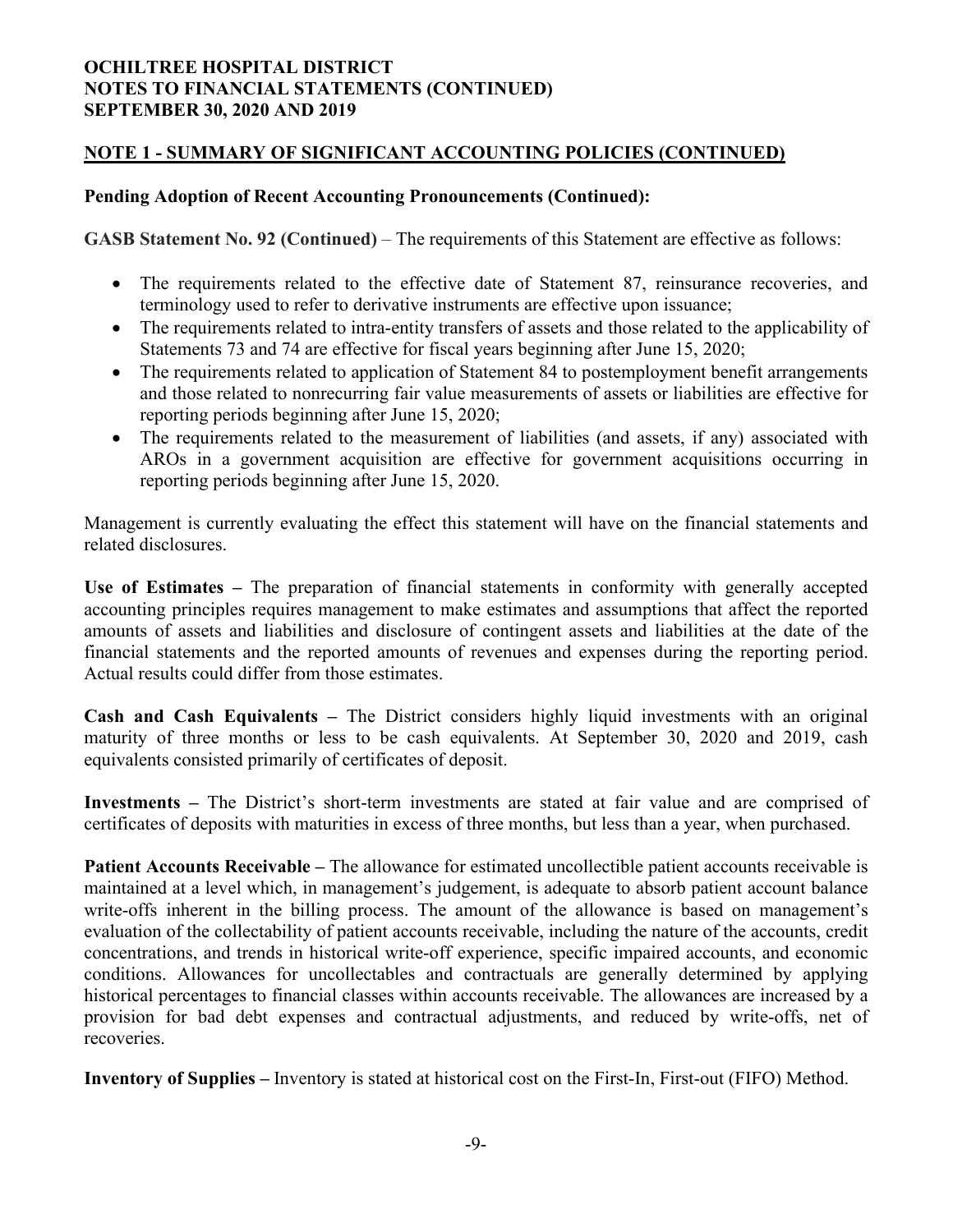#### **NOTE 1 - SUMMARY OF SIGNIFICANT ACCOUNTING POLICIES (CONTINUED)**

#### **Pending Adoption of Recent Accounting Pronouncements (Continued):**

**GASB Statement No. 92 (Continued)** – The requirements of this Statement are effective as follows:

- The requirements related to the effective date of Statement 87, reinsurance recoveries, and terminology used to refer to derivative instruments are effective upon issuance;
- The requirements related to intra-entity transfers of assets and those related to the applicability of Statements 73 and 74 are effective for fiscal years beginning after June 15, 2020;
- The requirements related to application of Statement 84 to postemployment benefit arrangements and those related to nonrecurring fair value measurements of assets or liabilities are effective for reporting periods beginning after June 15, 2020;
- The requirements related to the measurement of liabilities (and assets, if any) associated with AROs in a government acquisition are effective for government acquisitions occurring in reporting periods beginning after June 15, 2020.

Management is currently evaluating the effect this statement will have on the financial statements and related disclosures.

**Use of Estimates –** The preparation of financial statements in conformity with generally accepted accounting principles requires management to make estimates and assumptions that affect the reported amounts of assets and liabilities and disclosure of contingent assets and liabilities at the date of the financial statements and the reported amounts of revenues and expenses during the reporting period. Actual results could differ from those estimates.

**Cash and Cash Equivalents –** The District considers highly liquid investments with an original maturity of three months or less to be cash equivalents. At September 30, 2020 and 2019, cash equivalents consisted primarily of certificates of deposit.

**Investments –** The District's short-term investments are stated at fair value and are comprised of certificates of deposits with maturities in excess of three months, but less than a year, when purchased.

**Patient Accounts Receivable –** The allowance for estimated uncollectible patient accounts receivable is maintained at a level which, in management's judgement, is adequate to absorb patient account balance write-offs inherent in the billing process. The amount of the allowance is based on management's evaluation of the collectability of patient accounts receivable, including the nature of the accounts, credit concentrations, and trends in historical write-off experience, specific impaired accounts, and economic conditions. Allowances for uncollectables and contractuals are generally determined by applying historical percentages to financial classes within accounts receivable. The allowances are increased by a provision for bad debt expenses and contractual adjustments, and reduced by write-offs, net of recoveries.

**Inventory of Supplies –** Inventory is stated at historical cost on the First-In, First-out (FIFO) Method.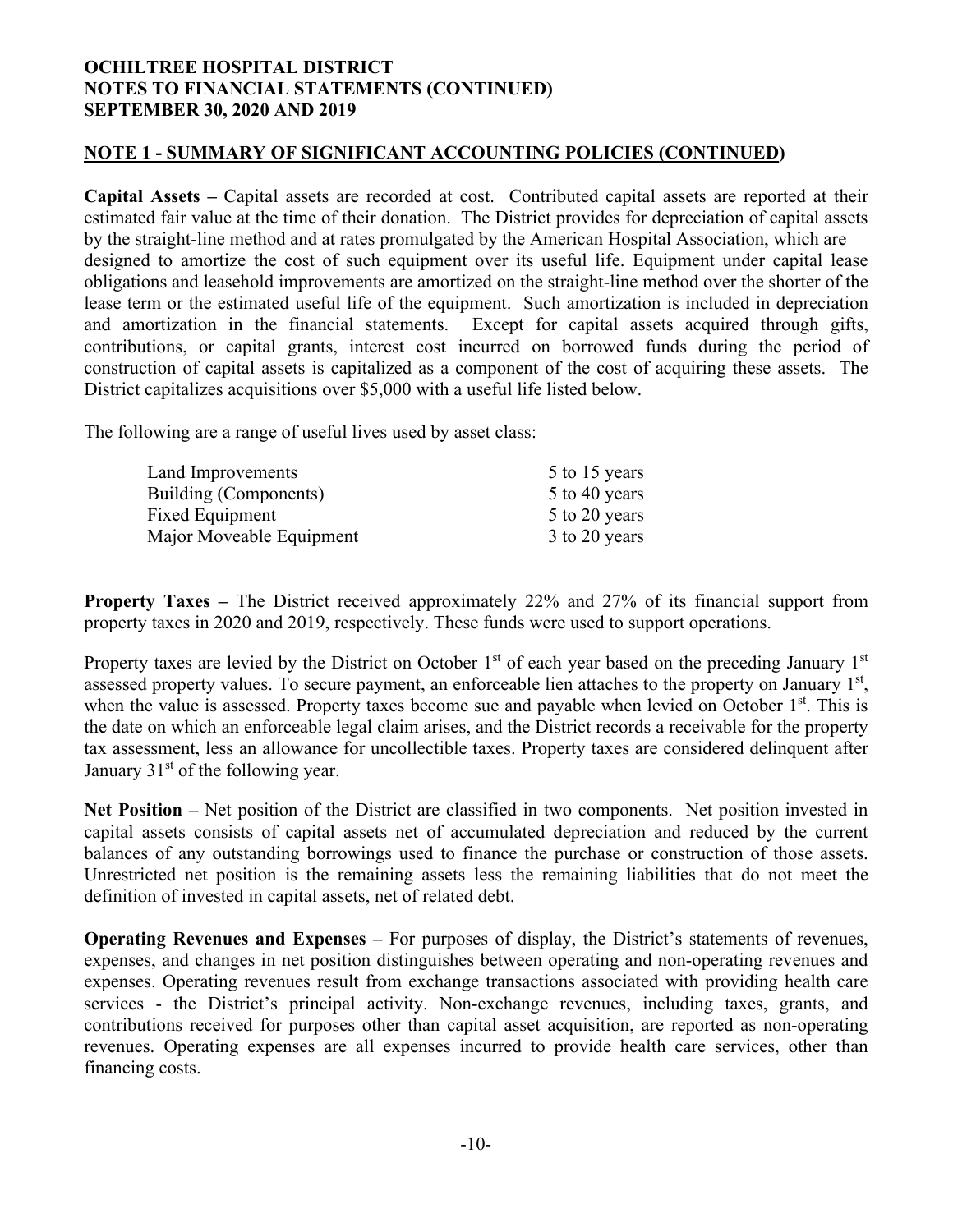#### **NOTE 1 - SUMMARY OF SIGNIFICANT ACCOUNTING POLICIES (CONTINUED)**

**Capital Assets –** Capital assets are recorded at cost. Contributed capital assets are reported at their estimated fair value at the time of their donation. The District provides for depreciation of capital assets by the straight-line method and at rates promulgated by the American Hospital Association, which are designed to amortize the cost of such equipment over its useful life. Equipment under capital lease obligations and leasehold improvements are amortized on the straight-line method over the shorter of the lease term or the estimated useful life of the equipment. Such amortization is included in depreciation and amortization in the financial statements. Except for capital assets acquired through gifts, contributions, or capital grants, interest cost incurred on borrowed funds during the period of construction of capital assets is capitalized as a component of the cost of acquiring these assets. The District capitalizes acquisitions over \$5,000 with a useful life listed below.

The following are a range of useful lives used by asset class:

| Land Improvements        | 5 to 15 years |
|--------------------------|---------------|
| Building (Components)    | 5 to 40 years |
| Fixed Equipment          | 5 to 20 years |
| Major Moveable Equipment | 3 to 20 years |

**Property Taxes –** The District received approximately 22% and 27% of its financial support from property taxes in 2020 and 2019, respectively. These funds were used to support operations.

Property taxes are levied by the District on October  $1<sup>st</sup>$  of each year based on the preceding January  $1<sup>st</sup>$ assessed property values. To secure payment, an enforceable lien attaches to the property on January 1st, when the value is assessed. Property taxes become sue and payable when levied on October  $1<sup>st</sup>$ . This is the date on which an enforceable legal claim arises, and the District records a receivable for the property tax assessment, less an allowance for uncollectible taxes. Property taxes are considered delinquent after January  $31<sup>st</sup>$  of the following year.

**Net Position –** Net position of the District are classified in two components. Net position invested in capital assets consists of capital assets net of accumulated depreciation and reduced by the current balances of any outstanding borrowings used to finance the purchase or construction of those assets. Unrestricted net position is the remaining assets less the remaining liabilities that do not meet the definition of invested in capital assets, net of related debt.

**Operating Revenues and Expenses –** For purposes of display, the District's statements of revenues, expenses, and changes in net position distinguishes between operating and non-operating revenues and expenses. Operating revenues result from exchange transactions associated with providing health care services - the District's principal activity. Non-exchange revenues, including taxes, grants, and contributions received for purposes other than capital asset acquisition, are reported as non-operating revenues. Operating expenses are all expenses incurred to provide health care services, other than financing costs.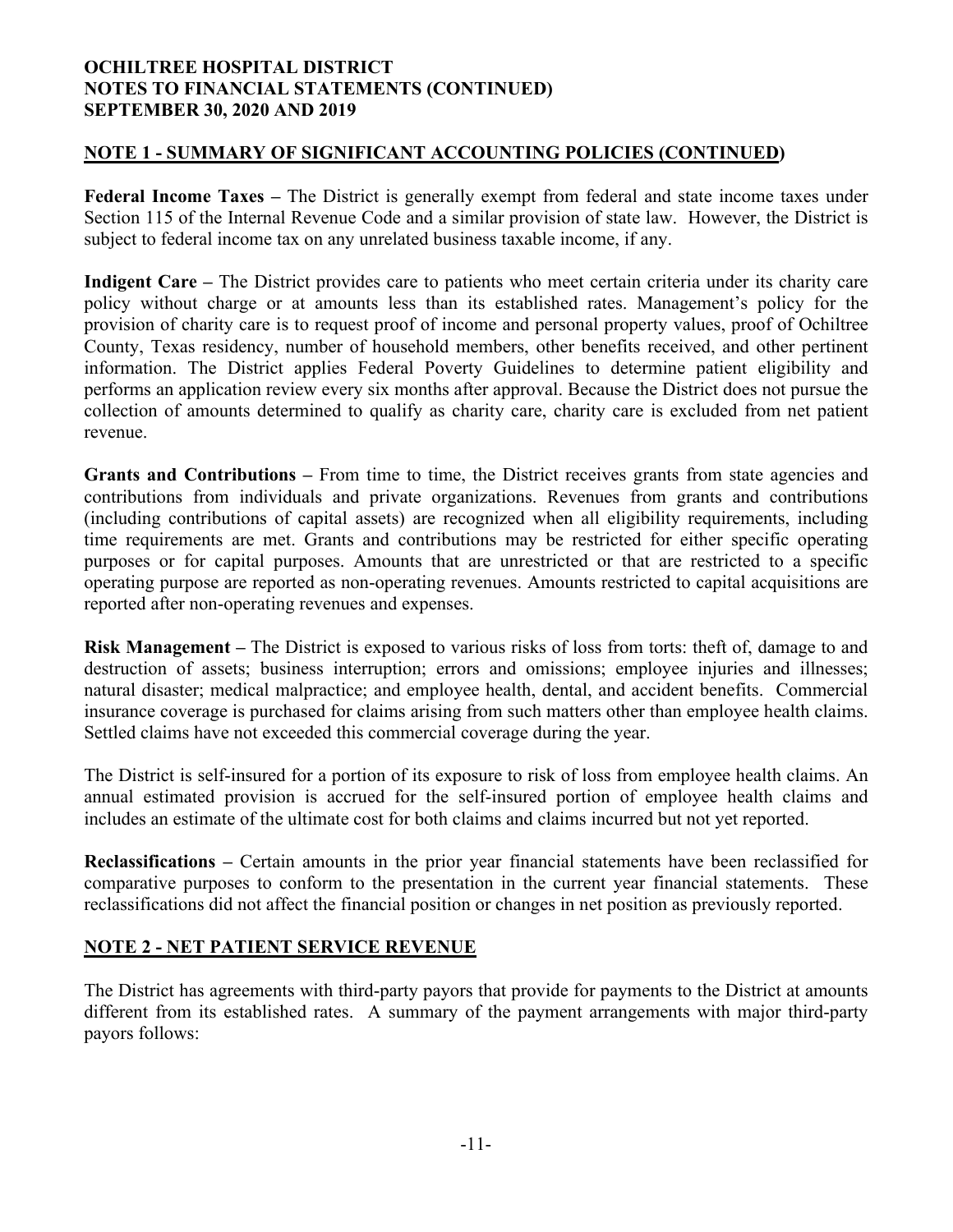## **NOTE 1 - SUMMARY OF SIGNIFICANT ACCOUNTING POLICIES (CONTINUED)**

**Federal Income Taxes –** The District is generally exempt from federal and state income taxes under Section 115 of the Internal Revenue Code and a similar provision of state law. However, the District is subject to federal income tax on any unrelated business taxable income, if any.

**Indigent Care –** The District provides care to patients who meet certain criteria under its charity care policy without charge or at amounts less than its established rates. Management's policy for the provision of charity care is to request proof of income and personal property values, proof of Ochiltree County, Texas residency, number of household members, other benefits received, and other pertinent information. The District applies Federal Poverty Guidelines to determine patient eligibility and performs an application review every six months after approval. Because the District does not pursue the collection of amounts determined to qualify as charity care, charity care is excluded from net patient revenue.

**Grants and Contributions –** From time to time, the District receives grants from state agencies and contributions from individuals and private organizations. Revenues from grants and contributions (including contributions of capital assets) are recognized when all eligibility requirements, including time requirements are met. Grants and contributions may be restricted for either specific operating purposes or for capital purposes. Amounts that are unrestricted or that are restricted to a specific operating purpose are reported as non-operating revenues. Amounts restricted to capital acquisitions are reported after non-operating revenues and expenses.

**Risk Management –** The District is exposed to various risks of loss from torts: theft of, damage to and destruction of assets; business interruption; errors and omissions; employee injuries and illnesses; natural disaster; medical malpractice; and employee health, dental, and accident benefits. Commercial insurance coverage is purchased for claims arising from such matters other than employee health claims. Settled claims have not exceeded this commercial coverage during the year.

The District is self-insured for a portion of its exposure to risk of loss from employee health claims. An annual estimated provision is accrued for the self-insured portion of employee health claims and includes an estimate of the ultimate cost for both claims and claims incurred but not yet reported.

**Reclassifications –** Certain amounts in the prior year financial statements have been reclassified for comparative purposes to conform to the presentation in the current year financial statements. These reclassifications did not affect the financial position or changes in net position as previously reported.

#### **NOTE 2 - NET PATIENT SERVICE REVENUE**

The District has agreements with third-party payors that provide for payments to the District at amounts different from its established rates. A summary of the payment arrangements with major third-party payors follows: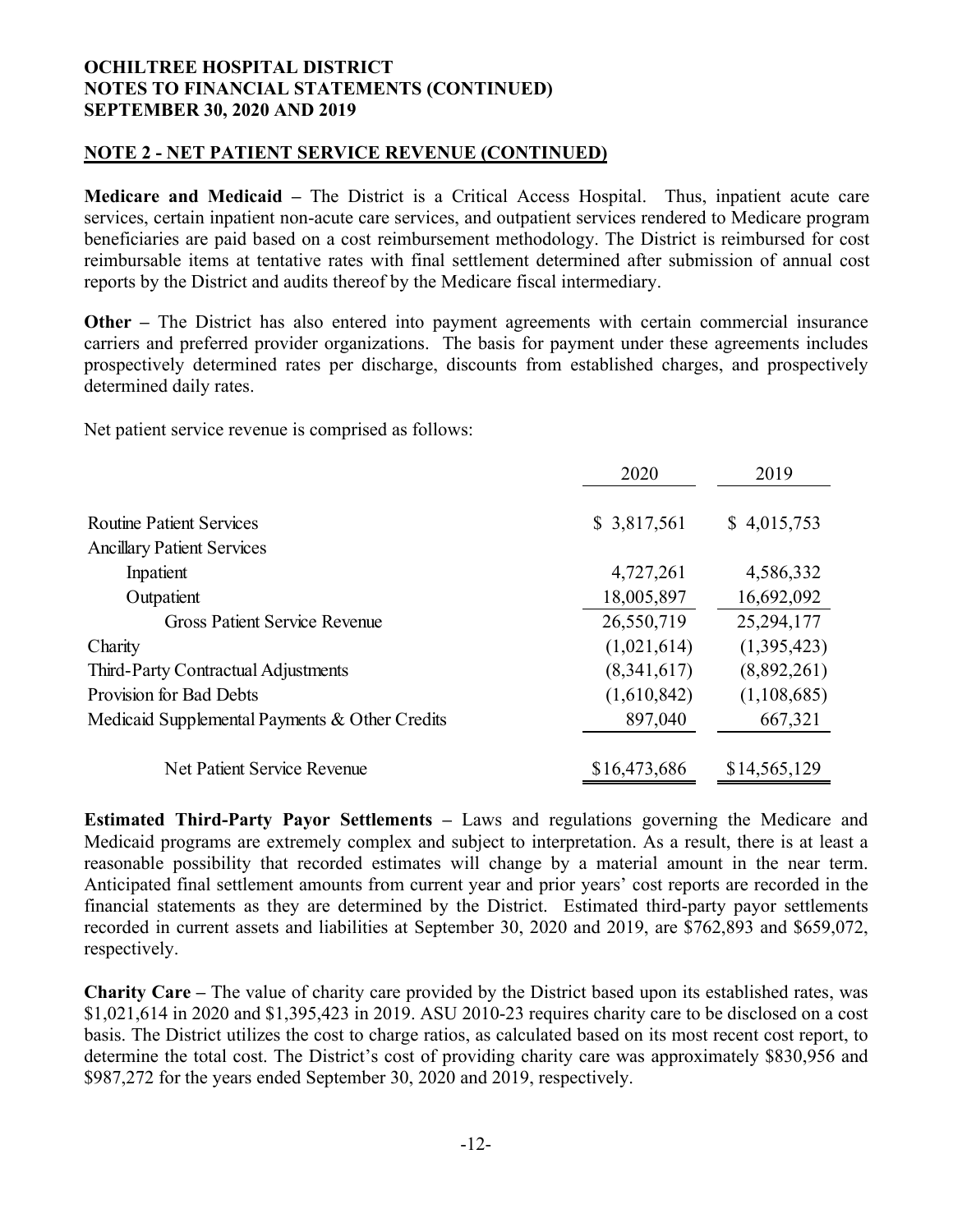# **NOTE 2 - NET PATIENT SERVICE REVENUE (CONTINUED)**

**Medicare and Medicaid –** The District is a Critical Access Hospital. Thus, inpatient acute care services, certain inpatient non-acute care services, and outpatient services rendered to Medicare program beneficiaries are paid based on a cost reimbursement methodology. The District is reimbursed for cost reimbursable items at tentative rates with final settlement determined after submission of annual cost reports by the District and audits thereof by the Medicare fiscal intermediary.

**Other –** The District has also entered into payment agreements with certain commercial insurance carriers and preferred provider organizations. The basis for payment under these agreements includes prospectively determined rates per discharge, discounts from established charges, and prospectively determined daily rates.

Net patient service revenue is comprised as follows:

|                                                | 2020         | 2019         |
|------------------------------------------------|--------------|--------------|
| <b>Routine Patient Services</b>                | \$ 3,817,561 | \$4,015,753  |
| <b>Ancillary Patient Services</b>              |              |              |
| Inpatient                                      | 4,727,261    | 4,586,332    |
| Outpatient                                     | 18,005,897   | 16,692,092   |
| <b>Gross Patient Service Revenue</b>           | 26,550,719   | 25,294,177   |
| Charity                                        | (1,021,614)  | (1,395,423)  |
| Third-Party Contractual Adjustments            | (8,341,617)  | (8,892,261)  |
| Provision for Bad Debts                        | (1,610,842)  | (1,108,685)  |
| Medicaid Supplemental Payments & Other Credits | 897,040      | 667,321      |
| Net Patient Service Revenue                    | \$16,473,686 | \$14,565,129 |

**Estimated Third-Party Payor Settlements –** Laws and regulations governing the Medicare and Medicaid programs are extremely complex and subject to interpretation. As a result, there is at least a reasonable possibility that recorded estimates will change by a material amount in the near term. Anticipated final settlement amounts from current year and prior years' cost reports are recorded in the financial statements as they are determined by the District. Estimated third-party payor settlements recorded in current assets and liabilities at September 30, 2020 and 2019, are \$762,893 and \$659,072, respectively.

**Charity Care –** The value of charity care provided by the District based upon its established rates, was \$1,021,614 in 2020 and \$1,395,423 in 2019. ASU 2010-23 requires charity care to be disclosed on a cost basis. The District utilizes the cost to charge ratios, as calculated based on its most recent cost report, to determine the total cost. The District's cost of providing charity care was approximately \$830,956 and \$987,272 for the years ended September 30, 2020 and 2019, respectively.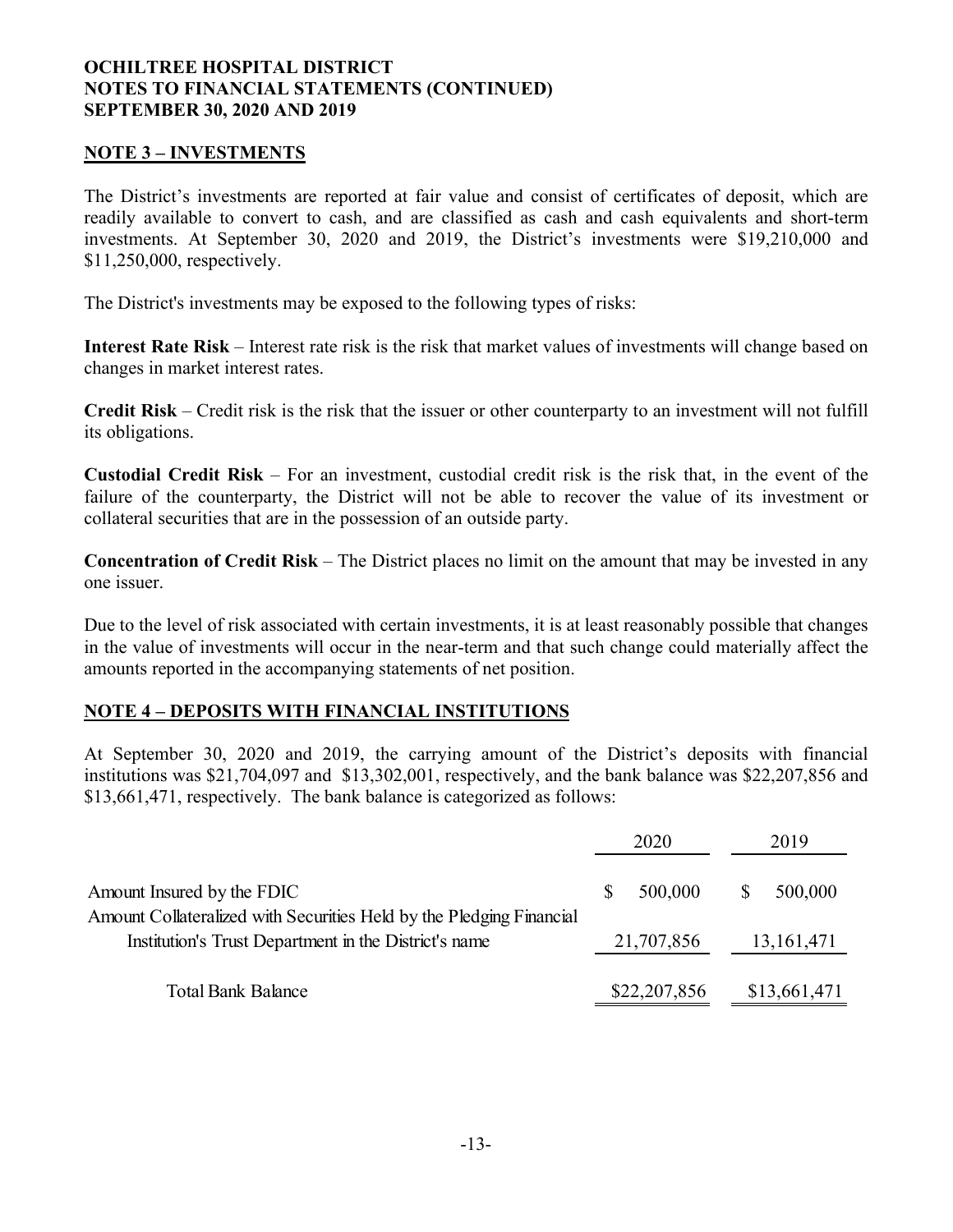#### **NOTE 3 – INVESTMENTS**

The District's investments are reported at fair value and consist of certificates of deposit, which are readily available to convert to cash, and are classified as cash and cash equivalents and short-term investments. At September 30, 2020 and 2019, the District's investments were \$19,210,000 and \$11,250,000, respectively.

The District's investments may be exposed to the following types of risks:

**Interest Rate Risk** – Interest rate risk is the risk that market values of investments will change based on changes in market interest rates.

**Credit Risk** – Credit risk is the risk that the issuer or other counterparty to an investment will not fulfill its obligations.

**Custodial Credit Risk** – For an investment, custodial credit risk is the risk that, in the event of the failure of the counterparty, the District will not be able to recover the value of its investment or collateral securities that are in the possession of an outside party.

**Concentration of Credit Risk** – The District places no limit on the amount that may be invested in any one issuer.

Due to the level of risk associated with certain investments, it is at least reasonably possible that changes in the value of investments will occur in the near-term and that such change could materially affect the amounts reported in the accompanying statements of net position.

# **NOTE 4 – DEPOSITS WITH FINANCIAL INSTITUTIONS**

At September 30, 2020 and 2019, the carrying amount of the District's deposits with financial institutions was \$21,704,097 and \$13,302,001, respectively, and the bank balance was \$22,207,856 and \$13,661,471, respectively. The bank balance is categorized as follows:

|                                                                                                    | 2020         | 2019         |  |
|----------------------------------------------------------------------------------------------------|--------------|--------------|--|
| Amount Insured by the FDIC<br>Amount Collateralized with Securities Held by the Pledging Financial | 500,000      | 500,000<br>S |  |
| Institution's Trust Department in the District's name                                              | 21,707,856   | 13, 161, 471 |  |
| <b>Total Bank Balance</b>                                                                          | \$22,207,856 | \$13,661,471 |  |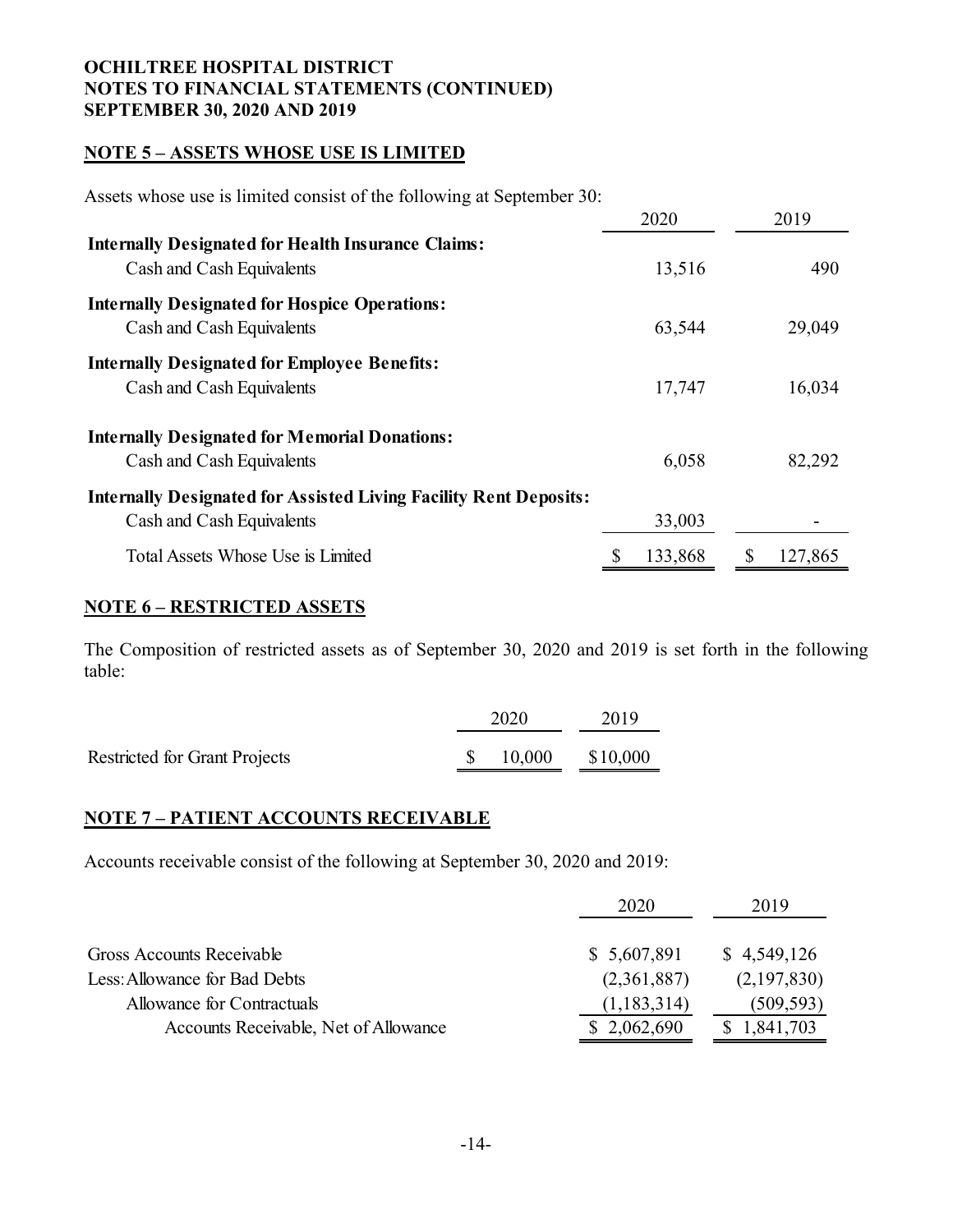#### **NOTE 5 – ASSETS WHOSE USE IS LIMITED**

Assets whose use is limited consist of the following at September 30:

|                                                                                                       | 2020          | 2019          |
|-------------------------------------------------------------------------------------------------------|---------------|---------------|
| <b>Internally Designated for Health Insurance Claims:</b><br>Cash and Cash Equivalents                | 13,516        | 490           |
| <b>Internally Designated for Hospice Operations:</b><br>Cash and Cash Equivalents                     | 63,544        | 29,049        |
| <b>Internally Designated for Employee Benefits:</b><br>Cash and Cash Equivalents                      | 17,747        | 16,034        |
| <b>Internally Designated for Memorial Donations:</b><br>Cash and Cash Equivalents                     | 6,058         | 82,292        |
| <b>Internally Designated for Assisted Living Facility Rent Deposits:</b><br>Cash and Cash Equivalents | 33,003        |               |
| Total Assets Whose Use is Limited                                                                     | 133,868<br>\$ | 127,865<br>\$ |

#### **NOTE 6 – RESTRICTED ASSETS**

The Composition of restricted assets as of September 30, 2020 and 2019 is set forth in the following table:

|                               | 2020 |          | 2019     |
|-------------------------------|------|----------|----------|
| Restricted for Grant Projects |      | \$10,000 | \$10,000 |

#### **NOTE 7 – PATIENT ACCOUNTS RECEIVABLE**

Accounts receivable consist of the following at September 30, 2020 and 2019:

|                                       | 2020        | 2019        |
|---------------------------------------|-------------|-------------|
|                                       |             |             |
| Gross Accounts Receivable             | \$5,607,891 | \$4,549,126 |
| Less Allowance for Bad Debts          | (2,361,887) | (2,197,830) |
| Allowance for Contractuals            | (1,183,314) | (509, 593)  |
| Accounts Receivable, Net of Allowance | \$2,062,690 | 1,841,703   |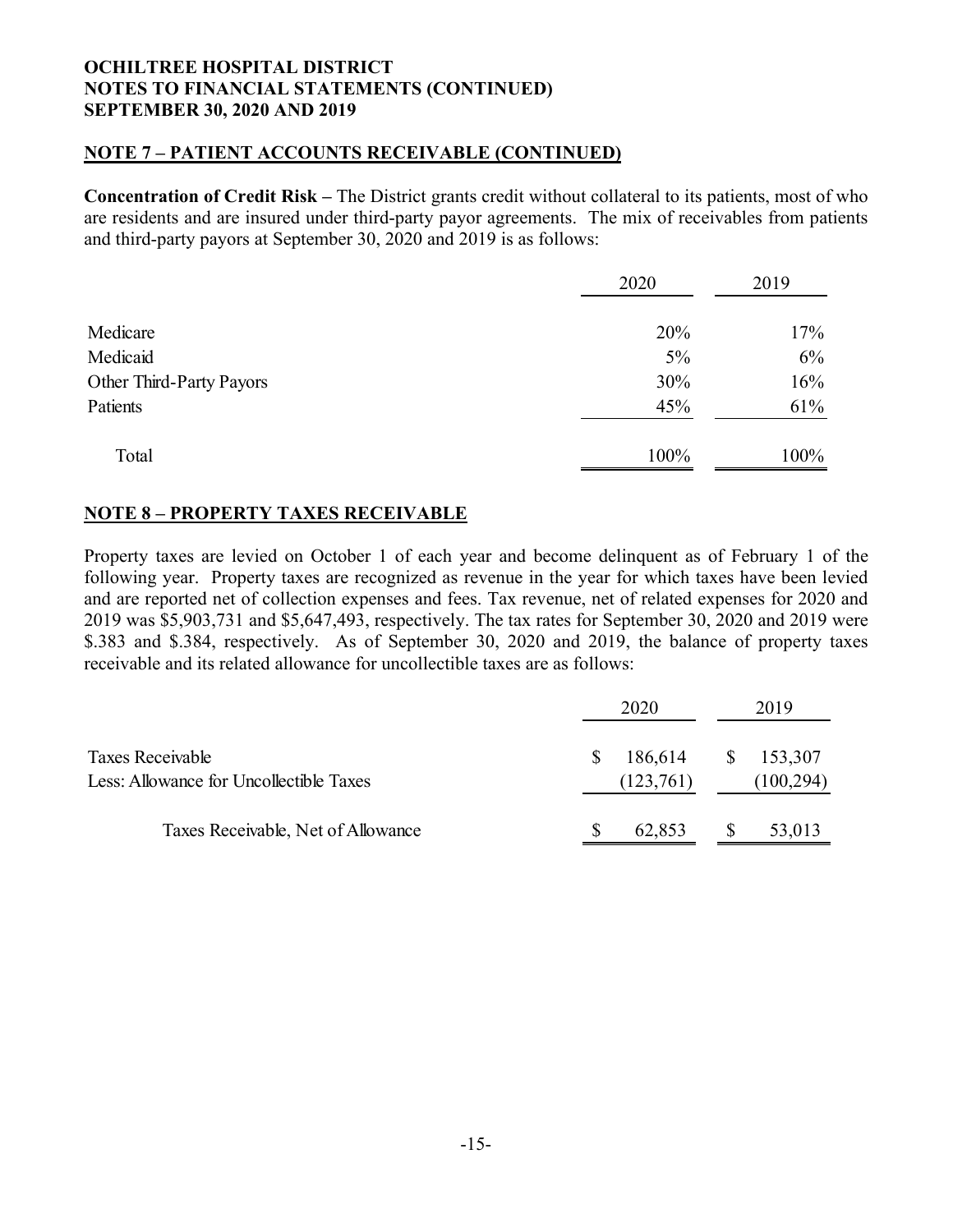# **NOTE 7 – PATIENT ACCOUNTS RECEIVABLE (CONTINUED)**

**Concentration of Credit Risk –** The District grants credit without collateral to its patients, most of who are residents and are insured under third-party payor agreements. The mix of receivables from patients and third-party payors at September 30, 2020 and 2019 is as follows:

|                          | 2020  | 2019 |  |
|--------------------------|-------|------|--|
| Medicare                 | 20%   | 17%  |  |
| Medicaid                 | $5\%$ | 6%   |  |
| Other Third-Party Payors | 30%   | 16%  |  |
| Patients                 | 45%   | 61%  |  |
| Total                    | 100%  | 100% |  |

# **NOTE 8 – PROPERTY TAXES RECEIVABLE**

Property taxes are levied on October 1 of each year and become delinquent as of February 1 of the following year. Property taxes are recognized as revenue in the year for which taxes have been levied and are reported net of collection expenses and fees. Tax revenue, net of related expenses for 2020 and 2019 was \$5,903,731 and \$5,647,493, respectively. The tax rates for September 30, 2020 and 2019 were \$.383 and \$.384, respectively. As of September 30, 2020 and 2019, the balance of property taxes receivable and its related allowance for uncollectible taxes are as follows:

|                                                             | 2020 |                      |              | 2019                  |  |  |
|-------------------------------------------------------------|------|----------------------|--------------|-----------------------|--|--|
| Taxes Receivable<br>Less: Allowance for Uncollectible Taxes | S    | 186,614<br>(123,761) | <sup>S</sup> | 153,307<br>(100, 294) |  |  |
| Taxes Receivable, Net of Allowance                          |      | 62,853               | <sup>2</sup> | 53,013                |  |  |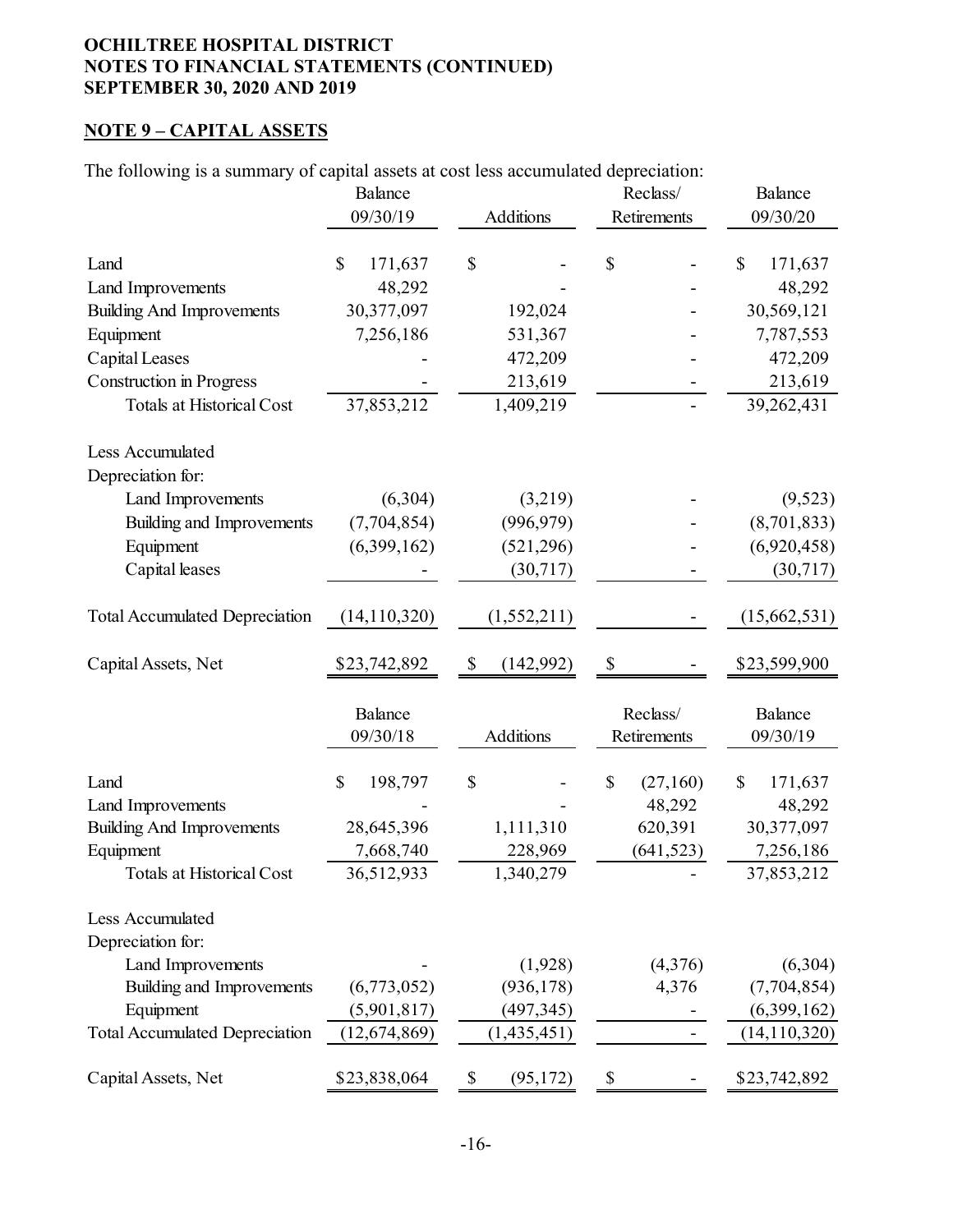# **NOTE 9 – CAPITAL ASSETS**

The following is a summary of capital assets at cost less accumulated depreciation:

|                                       | Balance        |                 | Reclass/       | Balance        |  |  |
|---------------------------------------|----------------|-----------------|----------------|----------------|--|--|
|                                       | 09/30/19       | Additions       | Retirements    | 09/30/20       |  |  |
|                                       |                |                 |                |                |  |  |
| Land                                  | \$<br>171,637  | \$              | \$             | \$<br>171,637  |  |  |
| Land Improvements                     | 48,292         |                 |                | 48,292         |  |  |
| <b>Building And Improvements</b>      | 30,377,097     | 192,024         |                | 30,569,121     |  |  |
| Equipment                             | 7,256,186      | 531,367         |                | 7,787,553      |  |  |
| Capital Leases                        |                | 472,209         |                | 472,209        |  |  |
| <b>Construction in Progress</b>       |                | 213,619         |                | 213,619        |  |  |
| <b>Totals at Historical Cost</b>      | 37,853,212     | 1,409,219       |                | 39,262,431     |  |  |
| Less Accumulated                      |                |                 |                |                |  |  |
| Depreciation for:                     |                |                 |                |                |  |  |
| Land Improvements                     | (6,304)        | (3,219)         |                | (9,523)        |  |  |
| Building and Improvements             | (7,704,854)    | (996, 979)      |                | (8,701,833)    |  |  |
| Equipment                             | (6,399,162)    | (521, 296)      |                | (6,920,458)    |  |  |
| Capital leases                        |                | (30, 717)       |                | (30, 717)      |  |  |
| <b>Total Accumulated Depreciation</b> | (14, 110, 320) | (1, 552, 211)   |                | (15,662,531)   |  |  |
| Capital Assets, Net                   | \$23,742,892   | (142,992)<br>\$ | \$             | \$23,599,900   |  |  |
|                                       |                |                 |                |                |  |  |
|                                       | Balance        | Reclass/        |                | Balance        |  |  |
|                                       | 09/30/18       | Additions       | Retirements    | 09/30/19       |  |  |
| Land                                  | \$<br>198,797  | \$              | \$<br>(27,160) | \$<br>171,637  |  |  |
| Land Improvements                     |                |                 | 48,292         | 48,292         |  |  |
| <b>Building And Improvements</b>      | 28,645,396     | 1,111,310       | 620,391        | 30,377,097     |  |  |
| Equipment                             | 7,668,740      | 228,969         | (641, 523)     | 7,256,186      |  |  |
| <b>Totals at Historical Cost</b>      | 36,512,933     | 1,340,279       |                | 37,853,212     |  |  |
| Less Accumulated                      |                |                 |                |                |  |  |
| Depreciation for:                     |                |                 |                |                |  |  |
| Land Improvements                     |                | (1,928)         | (4,376)        | (6,304)        |  |  |
| Building and Improvements             | (6,773,052)    | (936, 178)      | 4,376          | (7,704,854)    |  |  |
| Equipment                             | (5,901,817)    | (497, 345)      |                | (6,399,162)    |  |  |
| <b>Total Accumulated Depreciation</b> | (12, 674, 869) | (1, 435, 451)   |                | (14, 110, 320) |  |  |
| Capital Assets, Net                   | \$23,838,064   | \$<br>(95,172)  | \$             | \$23,742,892   |  |  |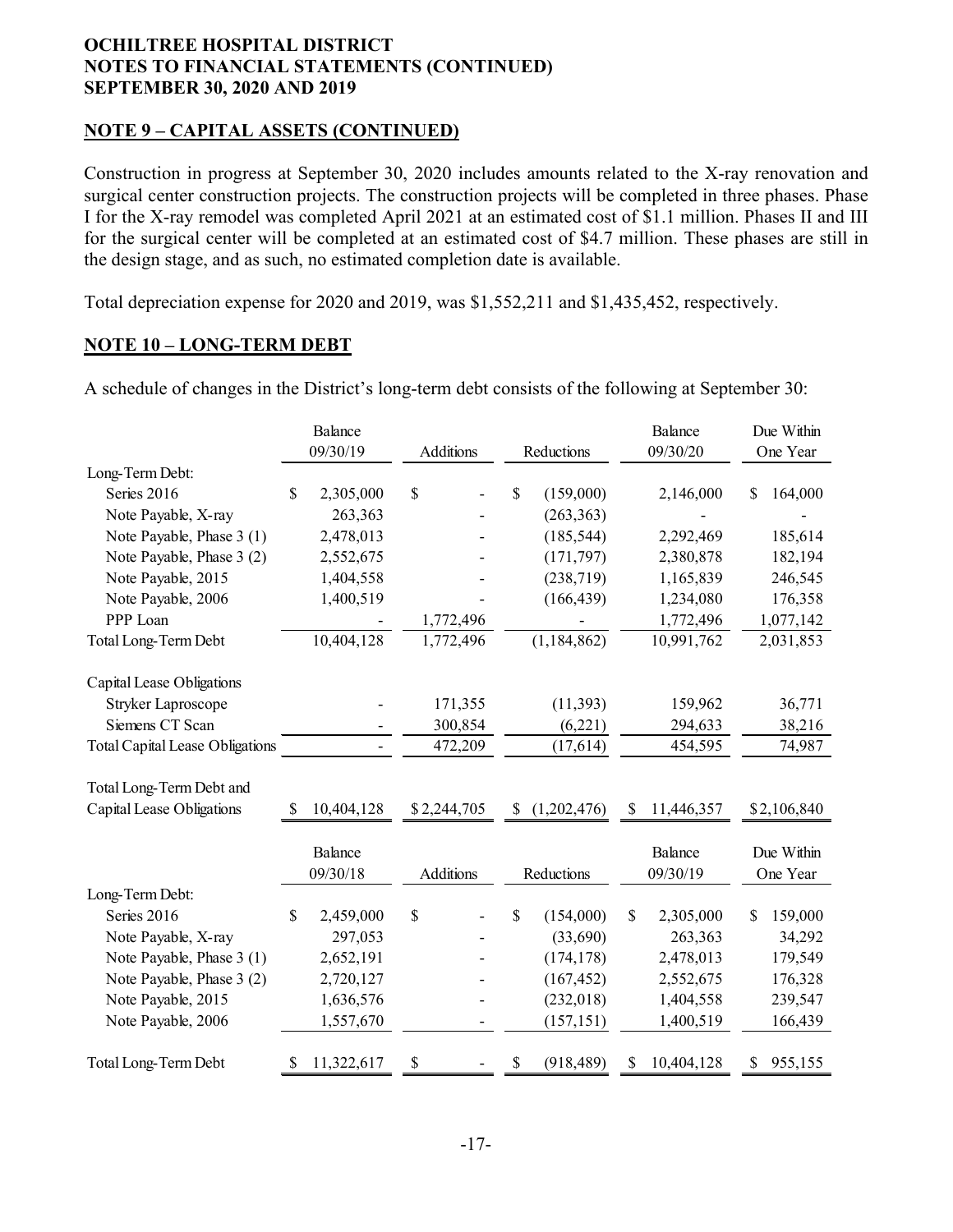## **NOTE 9 – CAPITAL ASSETS (CONTINUED)**

Construction in progress at September 30, 2020 includes amounts related to the X-ray renovation and surgical center construction projects. The construction projects will be completed in three phases. Phase I for the X-ray remodel was completed April 2021 at an estimated cost of \$1.1 million. Phases II and III for the surgical center will be completed at an estimated cost of \$4.7 million. These phases are still in the design stage, and as such, no estimated completion date is available.

Total depreciation expense for 2020 and 2019, was \$1,552,211 and \$1,435,452, respectively.

# **NOTE 10 – LONG-TERM DEBT**

A schedule of changes in the District's long-term debt consists of the following at September 30:

|                                        |          | Balance<br>09/30/19 | Additions<br>Reductions |           | Balance<br>09/30/20 |               | Due Within<br>One Year |            |    |             |            |
|----------------------------------------|----------|---------------------|-------------------------|-----------|---------------------|---------------|------------------------|------------|----|-------------|------------|
|                                        |          |                     |                         |           |                     |               |                        |            |    |             |            |
| Long-Term Debt:<br>Series 2016         |          | 2,305,000           |                         |           |                     | (159,000)     |                        | 2,146,000  |    | 164,000     |            |
| Note Payable, X-ray                    | \$       | 263,363             | \$                      |           | \$                  | (263, 363)    |                        |            | \$ |             |            |
|                                        |          |                     |                         |           |                     |               |                        | 2,292,469  |    |             |            |
| Note Payable, Phase 3 (1)              |          | 2,478,013           |                         |           |                     | (185, 544)    |                        |            |    | 185,614     |            |
| Note Payable, Phase 3 (2)              |          | 2,552,675           |                         |           |                     | (171, 797)    |                        | 2,380,878  |    | 182,194     |            |
| Note Payable, 2015                     |          | 1,404,558           |                         |           |                     | (238, 719)    |                        | 1,165,839  |    | 246,545     |            |
| Note Payable, 2006                     |          | 1,400,519           |                         |           |                     | (166, 439)    | 1,234,080              |            |    | 176,358     |            |
| PPP Loan                               |          |                     |                         | 1,772,496 |                     |               |                        | 1,772,496  |    | 1,077,142   |            |
| Total Long-Term Debt                   |          | 10,404,128          |                         | 1,772,496 |                     | (1, 184, 862) |                        | 10,991,762 |    | 2,031,853   |            |
|                                        |          |                     |                         |           |                     |               |                        |            |    |             |            |
| Capital Lease Obligations              |          |                     |                         |           |                     |               |                        |            |    |             |            |
| <b>Stryker Laproscope</b>              |          |                     |                         | 171,355   |                     | (11, 393)     |                        | 159,962    |    | 36,771      |            |
| Siemens CT Scan                        |          |                     |                         | 300,854   |                     | (6,221)       |                        | 294,633    |    | 38,216      |            |
| <b>Total Capital Lease Obligations</b> |          |                     |                         | 472,209   |                     | (17, 614)     |                        | 454,595    |    | 74,987      |            |
| Total Long-Term Debt and               |          |                     |                         |           |                     |               |                        |            |    |             |            |
| Capital Lease Obligations              | <b>S</b> | 10,404,128          | \$2,244,705             |           | <sup>\$</sup>       | (1,202,476)   | \$                     | 11,446,357 |    | \$2,106,840 |            |
|                                        |          |                     |                         |           |                     |               |                        |            |    |             |            |
|                                        |          | Balance             |                         |           |                     |               |                        | Balance    |    |             | Due Within |
|                                        |          | 09/30/18            | Additions               |           |                     | Reductions    |                        | 09/30/19   |    | One Year    |            |
| Long-Term Debt:                        |          |                     |                         |           |                     |               |                        |            |    |             |            |
| Series 2016                            | S        | 2,459,000           | \$                      |           | S                   | (154,000)     | S                      | 2,305,000  | S  | 159,000     |            |
| Note Payable, X-ray                    |          | 297,053             |                         |           |                     | (33,690)      |                        | 263,363    |    | 34,292      |            |
| Note Payable, Phase 3 (1)              |          | 2,652,191           |                         |           |                     | (174, 178)    |                        | 2,478,013  |    | 179,549     |            |
| Note Payable, Phase 3 (2)              |          | 2,720,127           |                         |           |                     | (167, 452)    |                        | 2,552,675  |    | 176,328     |            |
| Note Payable, 2015                     |          | 1,636,576           |                         |           |                     | (232, 018)    |                        | 1,404,558  |    | 239,547     |            |
| Note Payable, 2006                     |          | 1,557,670           |                         |           |                     | (157, 151)    |                        | 1,400,519  |    | 166,439     |            |
|                                        |          |                     |                         |           |                     |               |                        |            |    |             |            |
| Total Long-Term Debt                   | \$       | 11,322,617          | \$                      |           | \$                  | (918, 489)    | \$                     | 10,404,128 | \$ | 955,155     |            |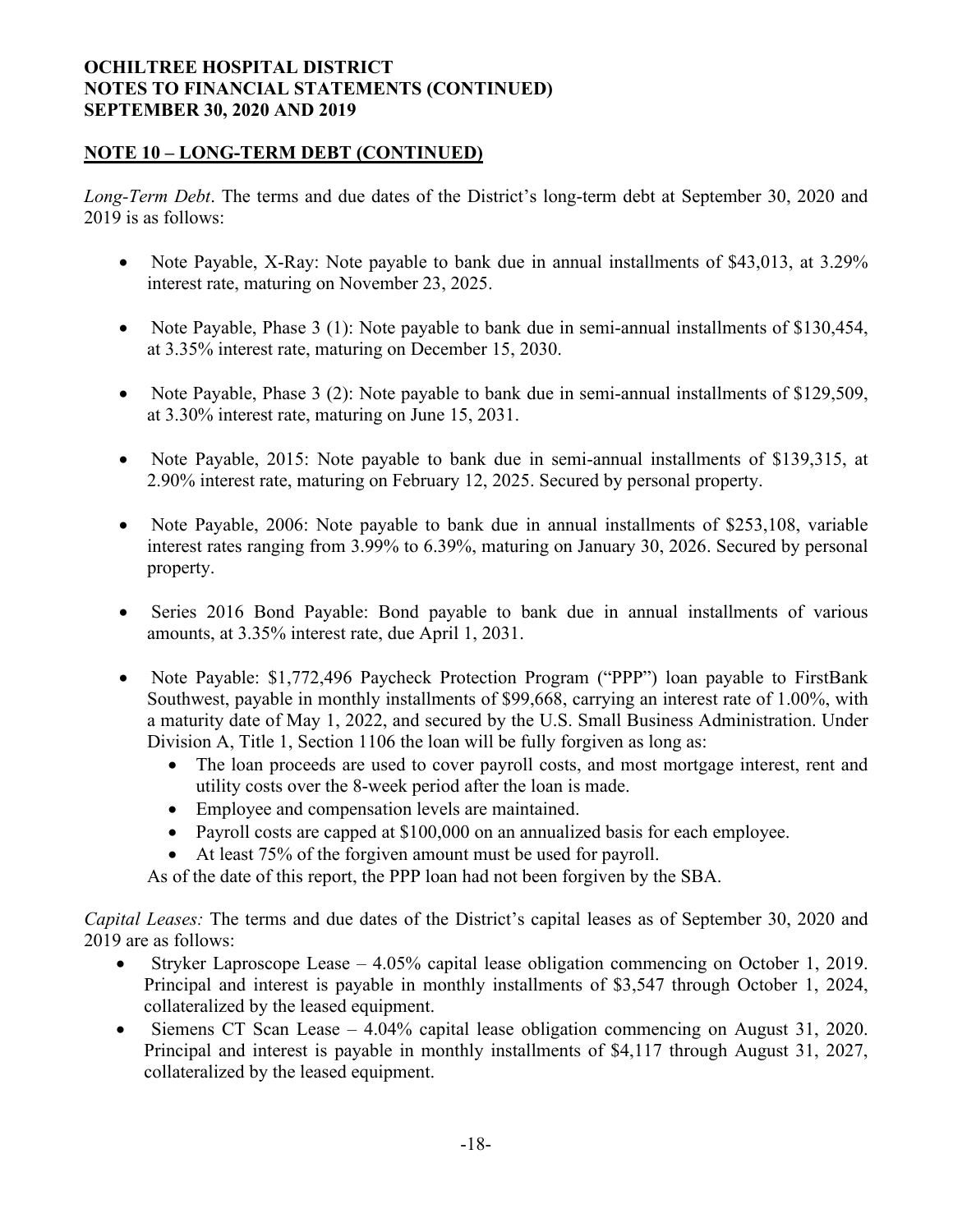## **NOTE 10 – LONG-TERM DEBT (CONTINUED)**

*Long-Term Debt*. The terms and due dates of the District's long-term debt at September 30, 2020 and 2019 is as follows:

- Note Payable, X-Ray: Note payable to bank due in annual installments of \$43,013, at 3.29% interest rate, maturing on November 23, 2025.
- Note Payable, Phase 3 (1): Note payable to bank due in semi-annual installments of \$130,454, at 3.35% interest rate, maturing on December 15, 2030.
- Note Payable, Phase 3 (2): Note payable to bank due in semi-annual installments of \$129,509, at 3.30% interest rate, maturing on June 15, 2031.
- Note Payable, 2015: Note payable to bank due in semi-annual installments of \$139,315, at 2.90% interest rate, maturing on February 12, 2025. Secured by personal property.
- Note Payable, 2006: Note payable to bank due in annual installments of \$253,108, variable interest rates ranging from 3.99% to 6.39%, maturing on January 30, 2026. Secured by personal property.
- Series 2016 Bond Payable: Bond payable to bank due in annual installments of various amounts, at 3.35% interest rate, due April 1, 2031.
- Note Payable: \$1,772,496 Paycheck Protection Program ("PPP") loan payable to FirstBank Southwest, payable in monthly installments of \$99,668, carrying an interest rate of 1.00%, with a maturity date of May 1, 2022, and secured by the U.S. Small Business Administration. Under Division A, Title 1, Section 1106 the loan will be fully forgiven as long as:
	- The loan proceeds are used to cover payroll costs, and most mortgage interest, rent and utility costs over the 8-week period after the loan is made.
	- Employee and compensation levels are maintained.
	- Payroll costs are capped at \$100,000 on an annualized basis for each employee.
	- At least 75% of the forgiven amount must be used for payroll.

As of the date of this report, the PPP loan had not been forgiven by the SBA.

*Capital Leases:* The terms and due dates of the District's capital leases as of September 30, 2020 and 2019 are as follows:

- Stryker Laproscope Lease  $-4.05\%$  capital lease obligation commencing on October 1, 2019. Principal and interest is payable in monthly installments of \$3,547 through October 1, 2024, collateralized by the leased equipment.
- Siemens CT Scan Lease 4.04% capital lease obligation commencing on August 31, 2020. Principal and interest is payable in monthly installments of \$4,117 through August 31, 2027, collateralized by the leased equipment.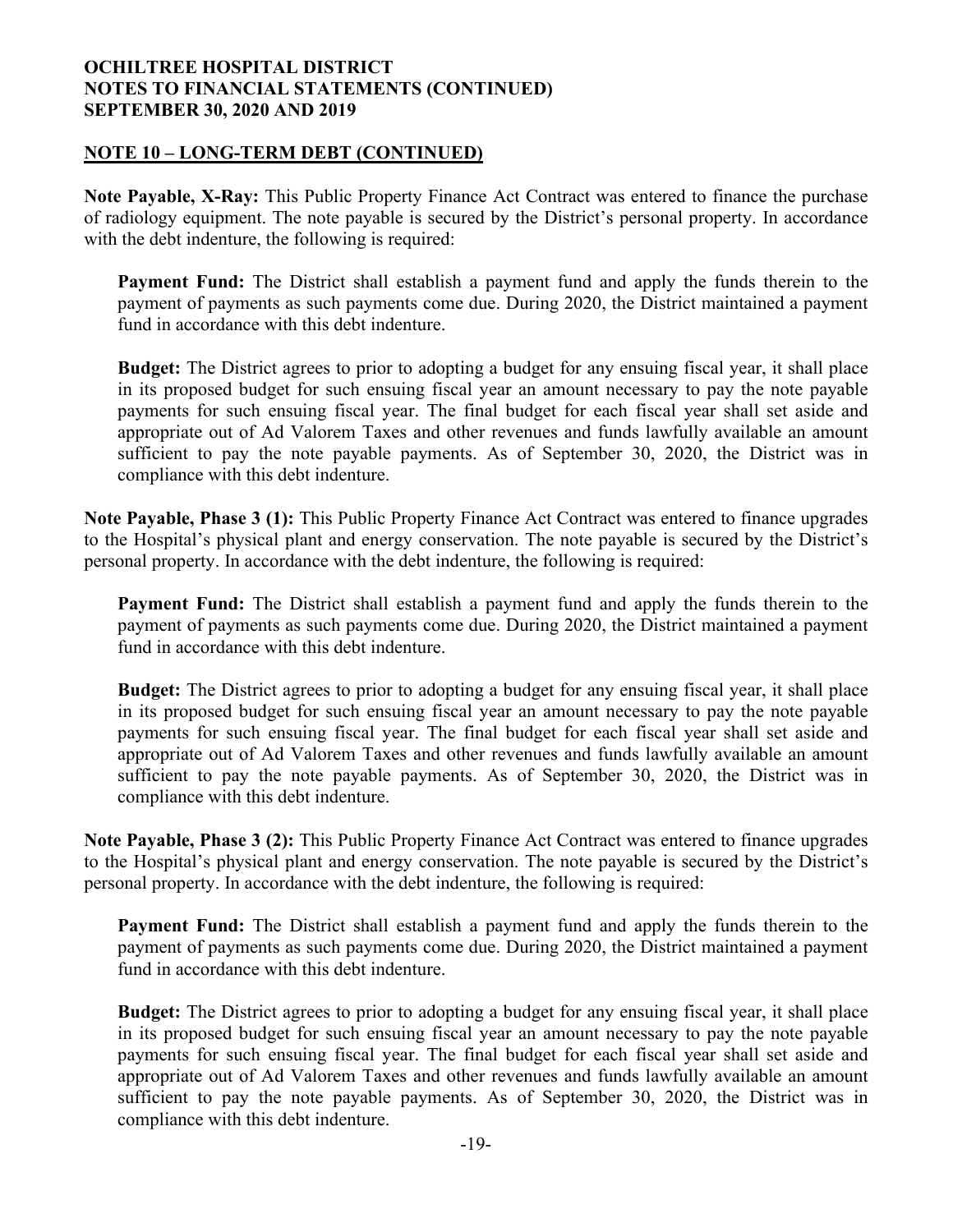#### **NOTE 10 – LONG-TERM DEBT (CONTINUED)**

**Note Payable, X-Ray:** This Public Property Finance Act Contract was entered to finance the purchase of radiology equipment. The note payable is secured by the District's personal property. In accordance with the debt indenture, the following is required:

**Payment Fund:** The District shall establish a payment fund and apply the funds therein to the payment of payments as such payments come due. During 2020, the District maintained a payment fund in accordance with this debt indenture.

**Budget:** The District agrees to prior to adopting a budget for any ensuing fiscal year, it shall place in its proposed budget for such ensuing fiscal year an amount necessary to pay the note payable payments for such ensuing fiscal year. The final budget for each fiscal year shall set aside and appropriate out of Ad Valorem Taxes and other revenues and funds lawfully available an amount sufficient to pay the note payable payments. As of September 30, 2020, the District was in compliance with this debt indenture.

**Note Payable, Phase 3 (1):** This Public Property Finance Act Contract was entered to finance upgrades to the Hospital's physical plant and energy conservation. The note payable is secured by the District's personal property. In accordance with the debt indenture, the following is required:

**Payment Fund:** The District shall establish a payment fund and apply the funds therein to the payment of payments as such payments come due. During 2020, the District maintained a payment fund in accordance with this debt indenture.

**Budget:** The District agrees to prior to adopting a budget for any ensuing fiscal year, it shall place in its proposed budget for such ensuing fiscal year an amount necessary to pay the note payable payments for such ensuing fiscal year. The final budget for each fiscal year shall set aside and appropriate out of Ad Valorem Taxes and other revenues and funds lawfully available an amount sufficient to pay the note payable payments. As of September 30, 2020, the District was in compliance with this debt indenture.

**Note Payable, Phase 3 (2):** This Public Property Finance Act Contract was entered to finance upgrades to the Hospital's physical plant and energy conservation. The note payable is secured by the District's personal property. In accordance with the debt indenture, the following is required:

**Payment Fund:** The District shall establish a payment fund and apply the funds therein to the payment of payments as such payments come due. During 2020, the District maintained a payment fund in accordance with this debt indenture.

**Budget:** The District agrees to prior to adopting a budget for any ensuing fiscal year, it shall place in its proposed budget for such ensuing fiscal year an amount necessary to pay the note payable payments for such ensuing fiscal year. The final budget for each fiscal year shall set aside and appropriate out of Ad Valorem Taxes and other revenues and funds lawfully available an amount sufficient to pay the note payable payments. As of September 30, 2020, the District was in compliance with this debt indenture.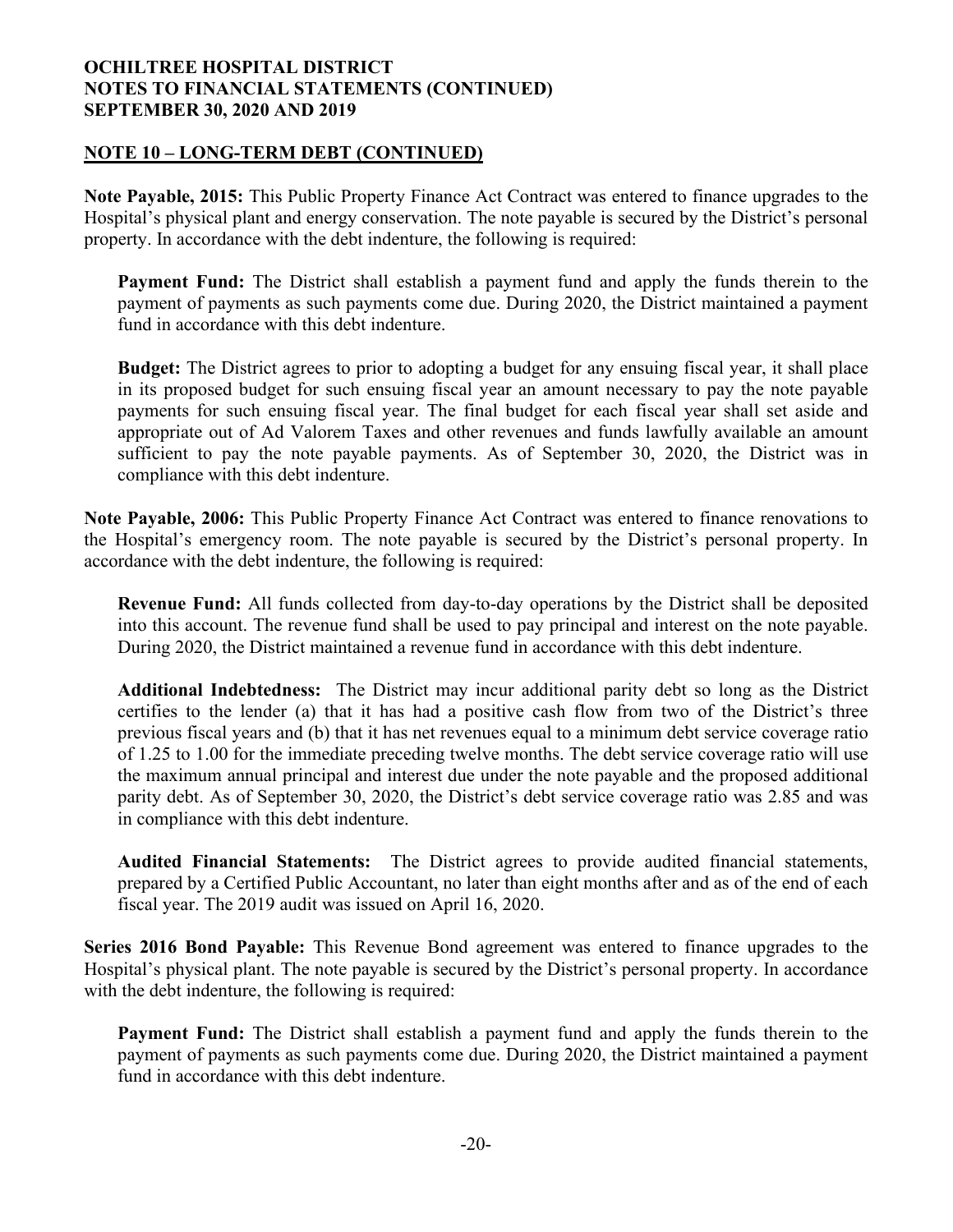#### **NOTE 10 – LONG-TERM DEBT (CONTINUED)**

**Note Payable, 2015:** This Public Property Finance Act Contract was entered to finance upgrades to the Hospital's physical plant and energy conservation. The note payable is secured by the District's personal property. In accordance with the debt indenture, the following is required:

**Payment Fund:** The District shall establish a payment fund and apply the funds therein to the payment of payments as such payments come due. During 2020, the District maintained a payment fund in accordance with this debt indenture.

**Budget:** The District agrees to prior to adopting a budget for any ensuing fiscal year, it shall place in its proposed budget for such ensuing fiscal year an amount necessary to pay the note payable payments for such ensuing fiscal year. The final budget for each fiscal year shall set aside and appropriate out of Ad Valorem Taxes and other revenues and funds lawfully available an amount sufficient to pay the note payable payments. As of September 30, 2020, the District was in compliance with this debt indenture.

**Note Payable, 2006:** This Public Property Finance Act Contract was entered to finance renovations to the Hospital's emergency room. The note payable is secured by the District's personal property. In accordance with the debt indenture, the following is required:

**Revenue Fund:** All funds collected from day-to-day operations by the District shall be deposited into this account. The revenue fund shall be used to pay principal and interest on the note payable. During 2020, the District maintained a revenue fund in accordance with this debt indenture.

**Additional Indebtedness:** The District may incur additional parity debt so long as the District certifies to the lender (a) that it has had a positive cash flow from two of the District's three previous fiscal years and (b) that it has net revenues equal to a minimum debt service coverage ratio of 1.25 to 1.00 for the immediate preceding twelve months. The debt service coverage ratio will use the maximum annual principal and interest due under the note payable and the proposed additional parity debt. As of September 30, 2020, the District's debt service coverage ratio was 2.85 and was in compliance with this debt indenture.

**Audited Financial Statements:** The District agrees to provide audited financial statements, prepared by a Certified Public Accountant, no later than eight months after and as of the end of each fiscal year. The 2019 audit was issued on April 16, 2020.

**Series 2016 Bond Payable:** This Revenue Bond agreement was entered to finance upgrades to the Hospital's physical plant. The note payable is secured by the District's personal property. In accordance with the debt indenture, the following is required:

**Payment Fund:** The District shall establish a payment fund and apply the funds therein to the payment of payments as such payments come due. During 2020, the District maintained a payment fund in accordance with this debt indenture.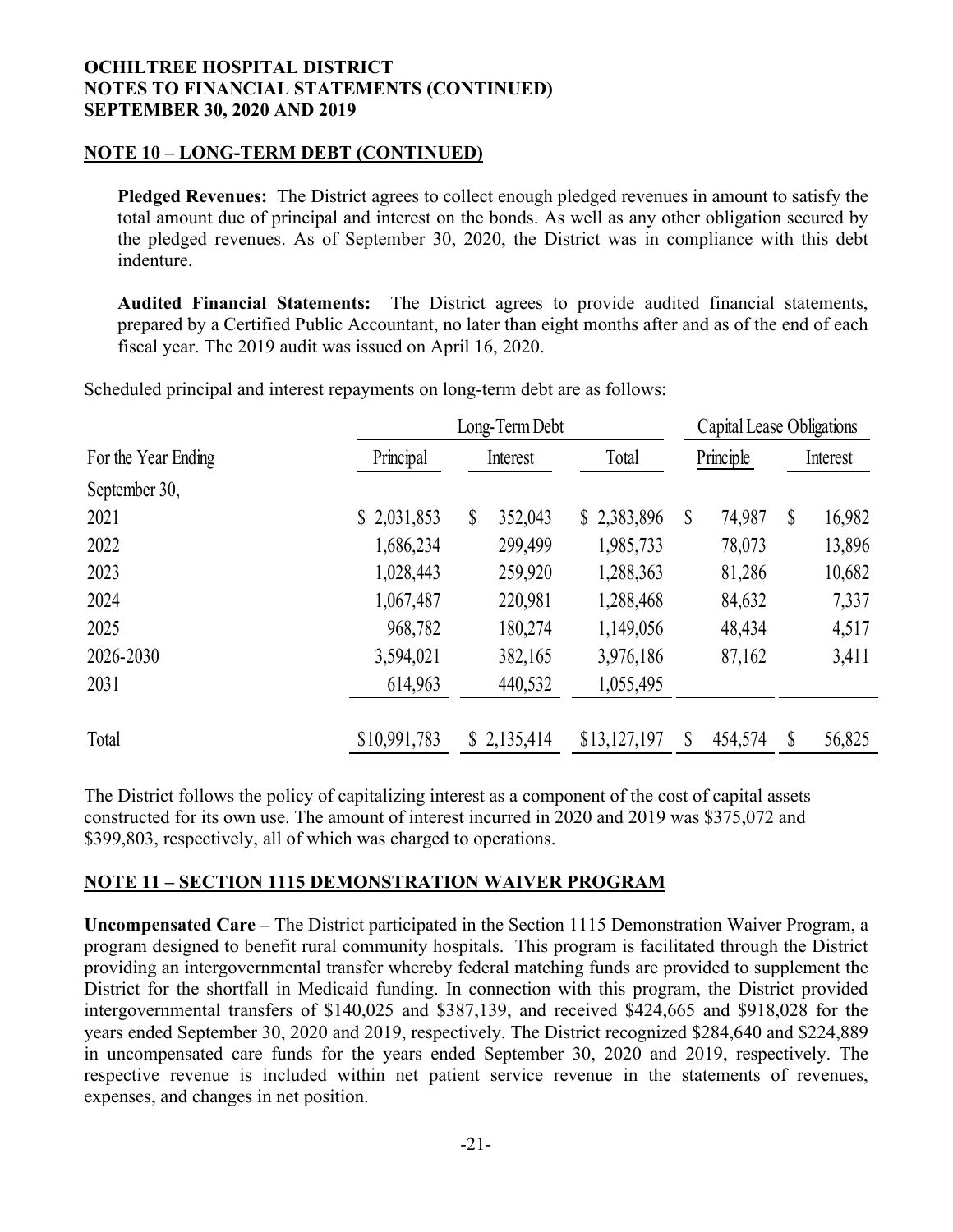# **NOTE 10 – LONG-TERM DEBT (CONTINUED)**

**Pledged Revenues:** The District agrees to collect enough pledged revenues in amount to satisfy the total amount due of principal and interest on the bonds. As well as any other obligation secured by the pledged revenues. As of September 30, 2020, the District was in compliance with this debt indenture.

**Audited Financial Statements:** The District agrees to provide audited financial statements, prepared by a Certified Public Accountant, no later than eight months after and as of the end of each fiscal year. The 2019 audit was issued on April 16, 2020.

| Long-Term Debt      |              |               |              | Capital Lease Obligations |         |          |        |
|---------------------|--------------|---------------|--------------|---------------------------|---------|----------|--------|
| For the Year Ending | Principal    | Interest      | Total        | Principle                 |         | Interest |        |
| September 30,       |              |               |              |                           |         |          |        |
| 2021                | \$2,031,853  | \$<br>352,043 | \$2,383,896  | S                         | 74,987  | S        | 16,982 |
| 2022                | 1,686,234    | 299,499       | 1,985,733    |                           | 78,073  |          | 13,896 |
| 2023                | 1,028,443    | 259,920       | 1,288,363    |                           | 81,286  |          | 10,682 |
| 2024                | 1,067,487    | 220,981       | 1,288,468    |                           | 84,632  |          | 7,337  |
| 2025                | 968,782      | 180,274       | 1,149,056    |                           | 48,434  |          | 4,517  |
| 2026-2030           | 3,594,021    | 382,165       | 3,976,186    |                           | 87,162  |          | 3,411  |
| 2031                | 614,963      | 440,532       | 1,055,495    |                           |         |          |        |
|                     |              |               |              |                           |         |          |        |
| Total               | \$10,991,783 | \$2,135,414   | \$13,127,197 |                           | 454,574 |          | 56,825 |

Scheduled principal and interest repayments on long-term debt are as follows:

The District follows the policy of capitalizing interest as a component of the cost of capital assets constructed for its own use. The amount of interest incurred in 2020 and 2019 was \$375,072 and \$399,803, respectively, all of which was charged to operations.

# **NOTE 11 – SECTION 1115 DEMONSTRATION WAIVER PROGRAM**

**Uncompensated Care –** The District participated in the Section 1115 Demonstration Waiver Program, a program designed to benefit rural community hospitals. This program is facilitated through the District providing an intergovernmental transfer whereby federal matching funds are provided to supplement the District for the shortfall in Medicaid funding. In connection with this program, the District provided intergovernmental transfers of \$140,025 and \$387,139, and received \$424,665 and \$918,028 for the years ended September 30, 2020 and 2019, respectively. The District recognized \$284,640 and \$224,889 in uncompensated care funds for the years ended September 30, 2020 and 2019, respectively. The respective revenue is included within net patient service revenue in the statements of revenues, expenses, and changes in net position.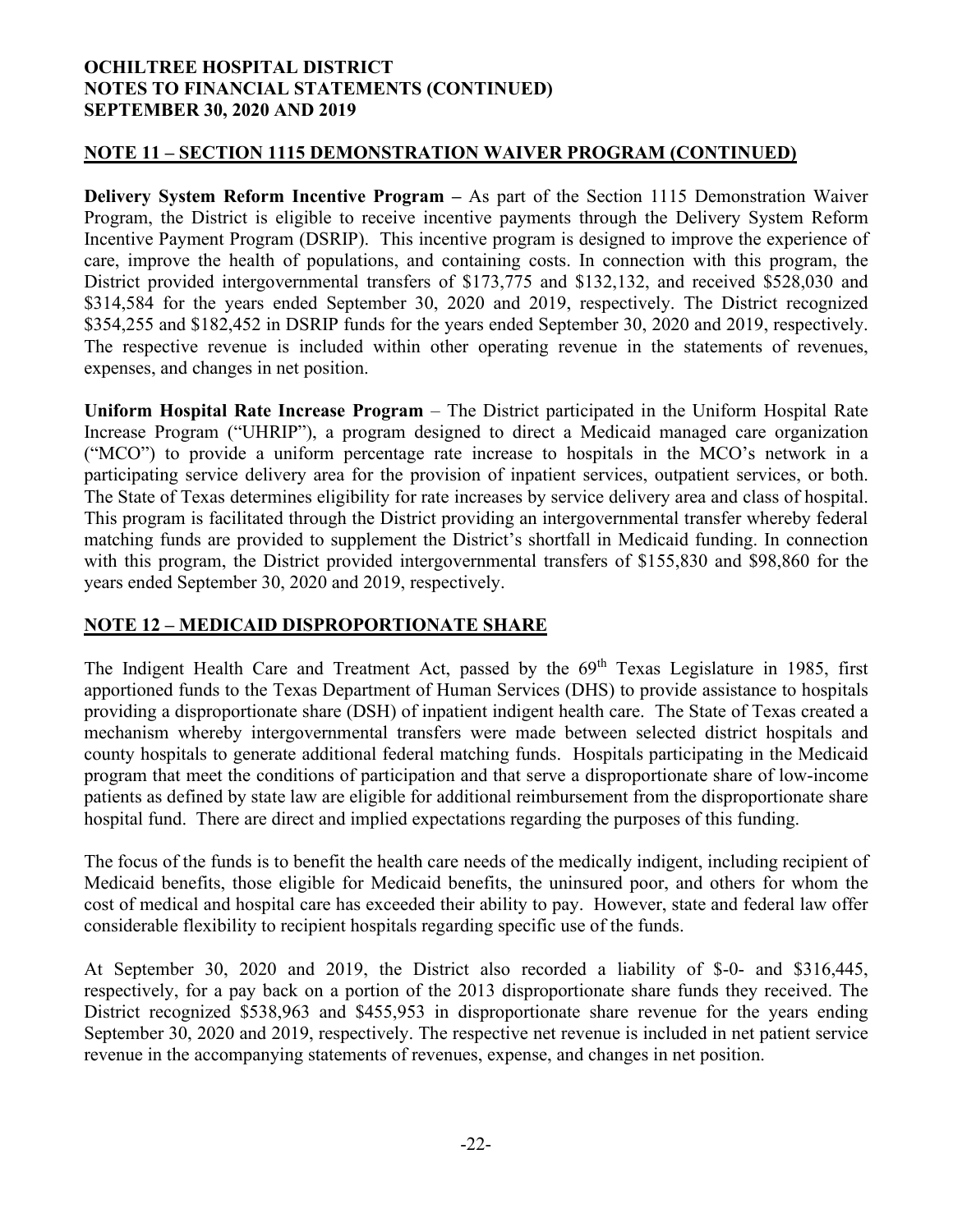## **NOTE 11 – SECTION 1115 DEMONSTRATION WAIVER PROGRAM (CONTINUED)**

**Delivery System Reform Incentive Program –** As part of the Section 1115 Demonstration Waiver Program, the District is eligible to receive incentive payments through the Delivery System Reform Incentive Payment Program (DSRIP). This incentive program is designed to improve the experience of care, improve the health of populations, and containing costs. In connection with this program, the District provided intergovernmental transfers of \$173,775 and \$132,132, and received \$528,030 and \$314,584 for the years ended September 30, 2020 and 2019, respectively. The District recognized \$354,255 and \$182,452 in DSRIP funds for the years ended September 30, 2020 and 2019, respectively. The respective revenue is included within other operating revenue in the statements of revenues, expenses, and changes in net position.

**Uniform Hospital Rate Increase Program** – The District participated in the Uniform Hospital Rate Increase Program ("UHRIP"), a program designed to direct a Medicaid managed care organization ("MCO") to provide a uniform percentage rate increase to hospitals in the MCO's network in a participating service delivery area for the provision of inpatient services, outpatient services, or both. The State of Texas determines eligibility for rate increases by service delivery area and class of hospital. This program is facilitated through the District providing an intergovernmental transfer whereby federal matching funds are provided to supplement the District's shortfall in Medicaid funding. In connection with this program, the District provided intergovernmental transfers of \$155,830 and \$98,860 for the years ended September 30, 2020 and 2019, respectively.

#### **NOTE 12 – MEDICAID DISPROPORTIONATE SHARE**

The Indigent Health Care and Treatment Act, passed by the 69<sup>th</sup> Texas Legislature in 1985, first apportioned funds to the Texas Department of Human Services (DHS) to provide assistance to hospitals providing a disproportionate share (DSH) of inpatient indigent health care. The State of Texas created a mechanism whereby intergovernmental transfers were made between selected district hospitals and county hospitals to generate additional federal matching funds. Hospitals participating in the Medicaid program that meet the conditions of participation and that serve a disproportionate share of low-income patients as defined by state law are eligible for additional reimbursement from the disproportionate share hospital fund. There are direct and implied expectations regarding the purposes of this funding.

The focus of the funds is to benefit the health care needs of the medically indigent, including recipient of Medicaid benefits, those eligible for Medicaid benefits, the uninsured poor, and others for whom the cost of medical and hospital care has exceeded their ability to pay. However, state and federal law offer considerable flexibility to recipient hospitals regarding specific use of the funds.

At September 30, 2020 and 2019, the District also recorded a liability of \$-0- and \$316,445, respectively, for a pay back on a portion of the 2013 disproportionate share funds they received. The District recognized \$538,963 and \$455,953 in disproportionate share revenue for the years ending September 30, 2020 and 2019, respectively. The respective net revenue is included in net patient service revenue in the accompanying statements of revenues, expense, and changes in net position.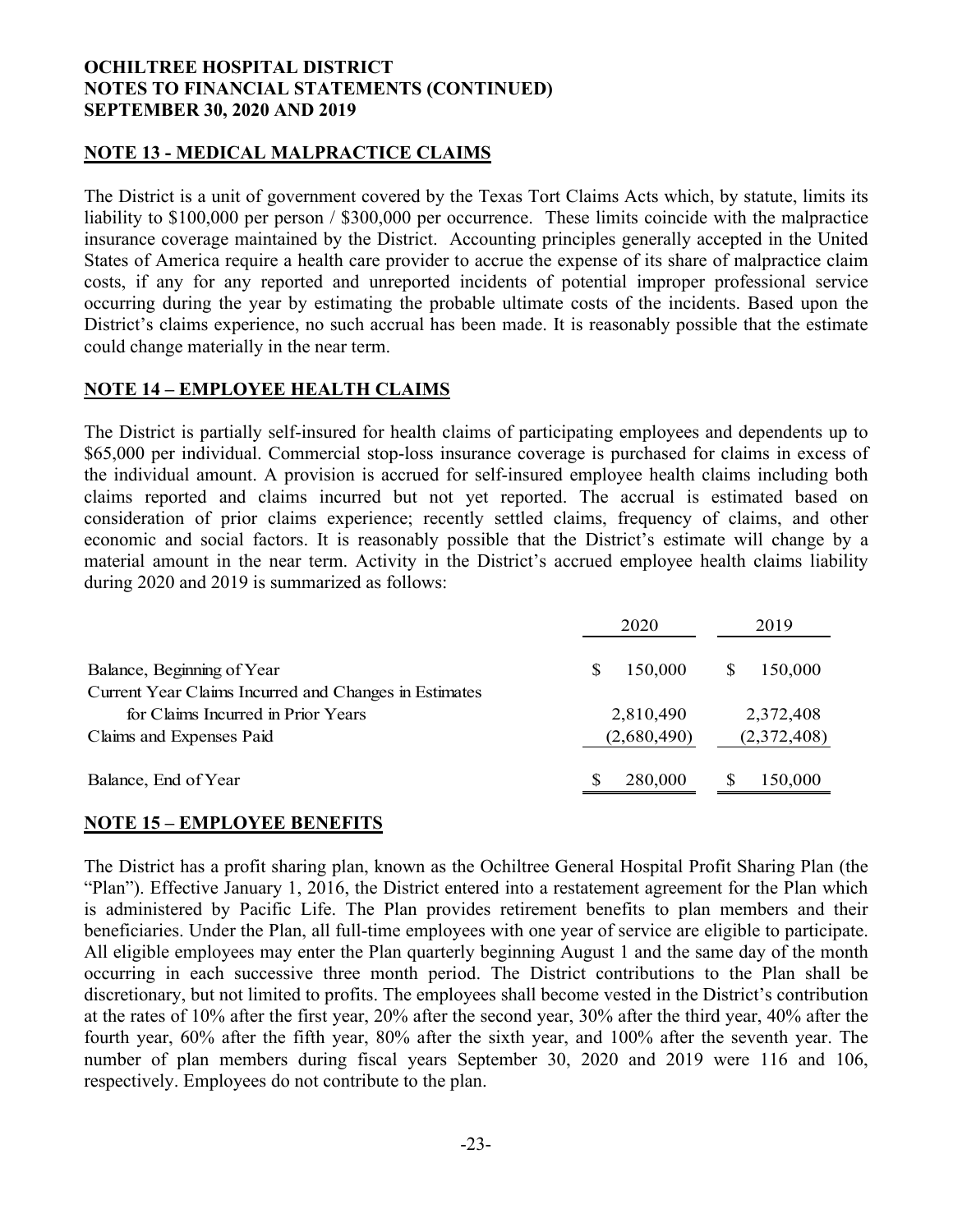# **NOTE 13 - MEDICAL MALPRACTICE CLAIMS**

The District is a unit of government covered by the Texas Tort Claims Acts which, by statute, limits its liability to \$100,000 per person / \$300,000 per occurrence. These limits coincide with the malpractice insurance coverage maintained by the District. Accounting principles generally accepted in the United States of America require a health care provider to accrue the expense of its share of malpractice claim costs, if any for any reported and unreported incidents of potential improper professional service occurring during the year by estimating the probable ultimate costs of the incidents. Based upon the District's claims experience, no such accrual has been made. It is reasonably possible that the estimate could change materially in the near term.

# **NOTE 14 – EMPLOYEE HEALTH CLAIMS**

The District is partially self-insured for health claims of participating employees and dependents up to \$65,000 per individual. Commercial stop-loss insurance coverage is purchased for claims in excess of the individual amount. A provision is accrued for self-insured employee health claims including both claims reported and claims incurred but not yet reported. The accrual is estimated based on consideration of prior claims experience; recently settled claims, frequency of claims, and other economic and social factors. It is reasonably possible that the District's estimate will change by a material amount in the near term. Activity in the District's accrued employee health claims liability during 2020 and 2019 is summarized as follows:

|                                                       | 2020         | 2019         |  |  |
|-------------------------------------------------------|--------------|--------------|--|--|
| Balance, Beginning of Year                            | 150,000<br>S | 150,000<br>S |  |  |
| Current Year Claims Incurred and Changes in Estimates |              |              |  |  |
| for Claims Incurred in Prior Years                    | 2,810,490    | 2,372,408    |  |  |
| Claims and Expenses Paid                              | (2,680,490)  | (2,372,408)  |  |  |
| Balance, End of Year                                  | 280,000      | 150,000      |  |  |

#### **NOTE 15 – EMPLOYEE BENEFITS**

The District has a profit sharing plan, known as the Ochiltree General Hospital Profit Sharing Plan (the "Plan"). Effective January 1, 2016, the District entered into a restatement agreement for the Plan which is administered by Pacific Life. The Plan provides retirement benefits to plan members and their beneficiaries. Under the Plan, all full-time employees with one year of service are eligible to participate. All eligible employees may enter the Plan quarterly beginning August 1 and the same day of the month occurring in each successive three month period. The District contributions to the Plan shall be discretionary, but not limited to profits. The employees shall become vested in the District's contribution at the rates of 10% after the first year, 20% after the second year, 30% after the third year, 40% after the fourth year, 60% after the fifth year, 80% after the sixth year, and 100% after the seventh year. The number of plan members during fiscal years September 30, 2020 and 2019 were 116 and 106, respectively. Employees do not contribute to the plan.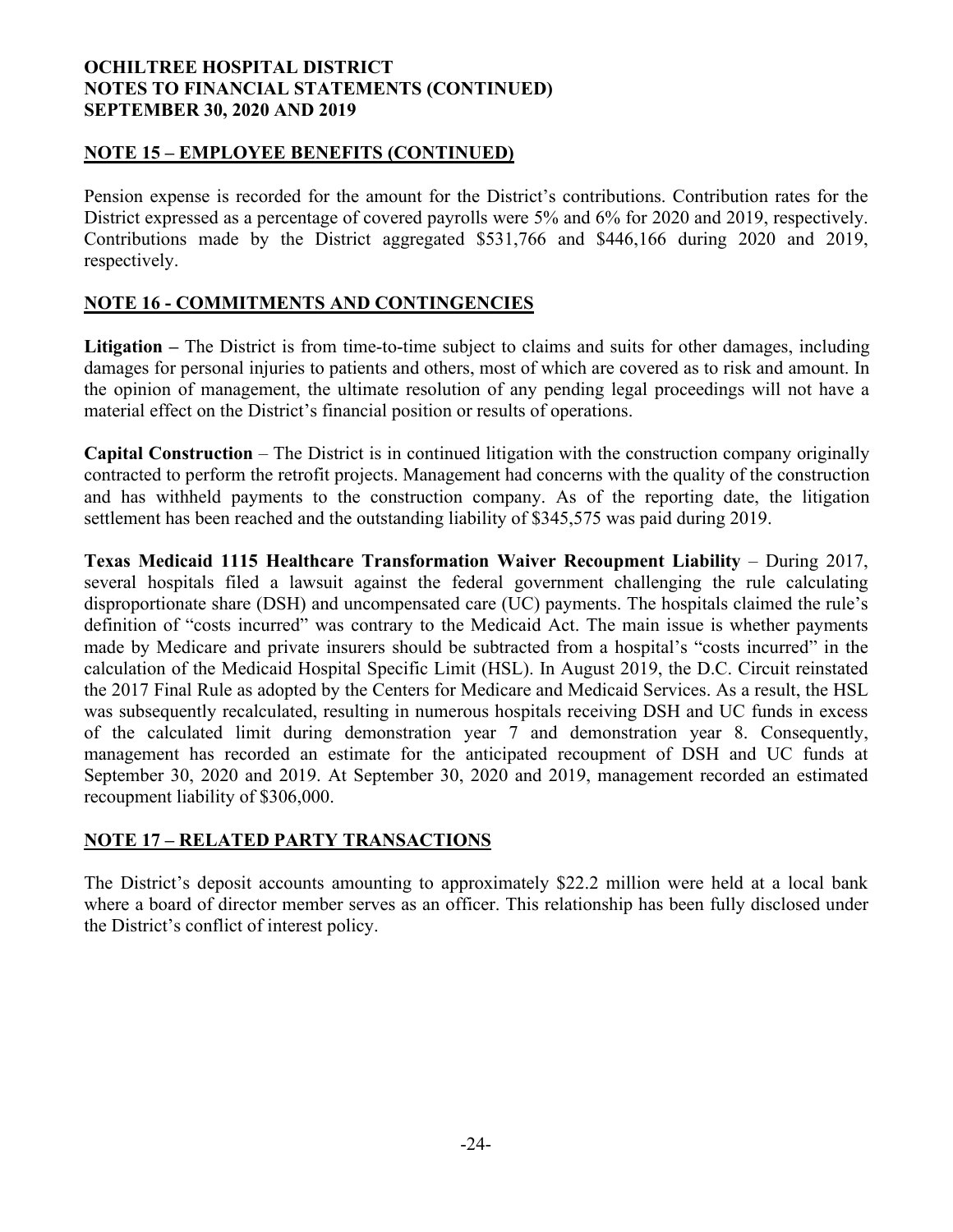## **NOTE 15 – EMPLOYEE BENEFITS (CONTINUED)**

Pension expense is recorded for the amount for the District's contributions. Contribution rates for the District expressed as a percentage of covered payrolls were 5% and 6% for 2020 and 2019, respectively. Contributions made by the District aggregated \$531,766 and \$446,166 during 2020 and 2019, respectively.

## **NOTE 16 - COMMITMENTS AND CONTINGENCIES**

**Litigation –** The District is from time-to-time subject to claims and suits for other damages, including damages for personal injuries to patients and others, most of which are covered as to risk and amount. In the opinion of management, the ultimate resolution of any pending legal proceedings will not have a material effect on the District's financial position or results of operations.

**Capital Construction** – The District is in continued litigation with the construction company originally contracted to perform the retrofit projects. Management had concerns with the quality of the construction and has withheld payments to the construction company. As of the reporting date, the litigation settlement has been reached and the outstanding liability of \$345,575 was paid during 2019.

**Texas Medicaid 1115 Healthcare Transformation Waiver Recoupment Liability** – During 2017, several hospitals filed a lawsuit against the federal government challenging the rule calculating disproportionate share (DSH) and uncompensated care (UC) payments. The hospitals claimed the rule's definition of "costs incurred" was contrary to the Medicaid Act. The main issue is whether payments made by Medicare and private insurers should be subtracted from a hospital's "costs incurred" in the calculation of the Medicaid Hospital Specific Limit (HSL). In August 2019, the D.C. Circuit reinstated the 2017 Final Rule as adopted by the Centers for Medicare and Medicaid Services. As a result, the HSL was subsequently recalculated, resulting in numerous hospitals receiving DSH and UC funds in excess of the calculated limit during demonstration year 7 and demonstration year 8. Consequently, management has recorded an estimate for the anticipated recoupment of DSH and UC funds at September 30, 2020 and 2019. At September 30, 2020 and 2019, management recorded an estimated recoupment liability of \$306,000.

# **NOTE 17 – RELATED PARTY TRANSACTIONS**

The District's deposit accounts amounting to approximately \$22.2 million were held at a local bank where a board of director member serves as an officer. This relationship has been fully disclosed under the District's conflict of interest policy.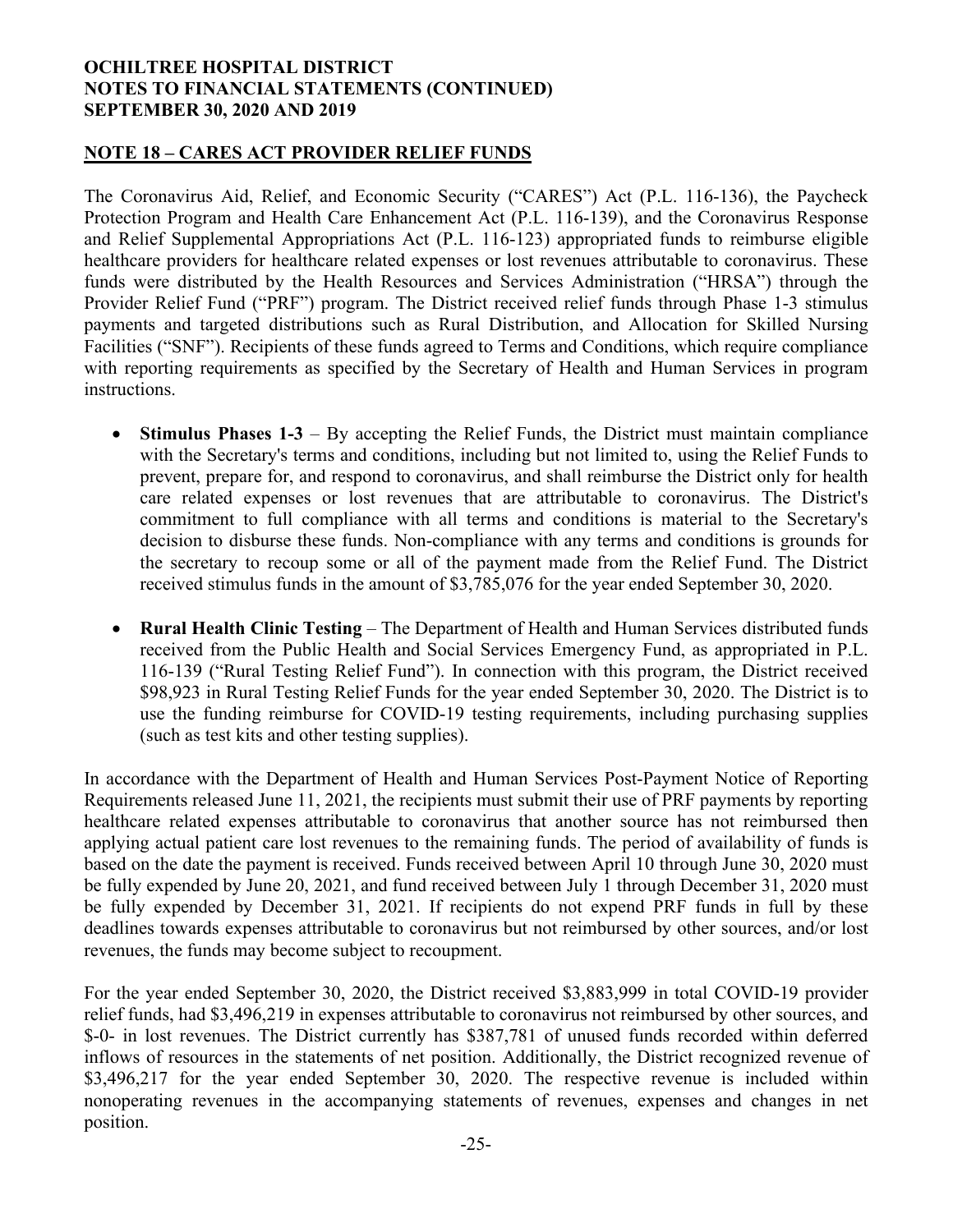#### **NOTE 18 – CARES ACT PROVIDER RELIEF FUNDS**

The Coronavirus Aid, Relief, and Economic Security ("CARES") Act (P.L. 116-136), the Paycheck Protection Program and Health Care Enhancement Act (P.L. 116-139), and the Coronavirus Response and Relief Supplemental Appropriations Act (P.L. 116-123) appropriated funds to reimburse eligible healthcare providers for healthcare related expenses or lost revenues attributable to coronavirus. These funds were distributed by the Health Resources and Services Administration ("HRSA") through the Provider Relief Fund ("PRF") program. The District received relief funds through Phase 1-3 stimulus payments and targeted distributions such as Rural Distribution, and Allocation for Skilled Nursing Facilities ("SNF"). Recipients of these funds agreed to Terms and Conditions, which require compliance with reporting requirements as specified by the Secretary of Health and Human Services in program instructions.

- **Stimulus Phases 1-3** By accepting the Relief Funds, the District must maintain compliance with the Secretary's terms and conditions, including but not limited to, using the Relief Funds to prevent, prepare for, and respond to coronavirus, and shall reimburse the District only for health care related expenses or lost revenues that are attributable to coronavirus. The District's commitment to full compliance with all terms and conditions is material to the Secretary's decision to disburse these funds. Non-compliance with any terms and conditions is grounds for the secretary to recoup some or all of the payment made from the Relief Fund. The District received stimulus funds in the amount of \$3,785,076 for the year ended September 30, 2020.
- **Rural Health Clinic Testing** The Department of Health and Human Services distributed funds received from the Public Health and Social Services Emergency Fund, as appropriated in P.L. 116-139 ("Rural Testing Relief Fund"). In connection with this program, the District received \$98,923 in Rural Testing Relief Funds for the year ended September 30, 2020. The District is to use the funding reimburse for COVID-19 testing requirements, including purchasing supplies (such as test kits and other testing supplies).

In accordance with the Department of Health and Human Services Post-Payment Notice of Reporting Requirements released June 11, 2021, the recipients must submit their use of PRF payments by reporting healthcare related expenses attributable to coronavirus that another source has not reimbursed then applying actual patient care lost revenues to the remaining funds. The period of availability of funds is based on the date the payment is received. Funds received between April 10 through June 30, 2020 must be fully expended by June 20, 2021, and fund received between July 1 through December 31, 2020 must be fully expended by December 31, 2021. If recipients do not expend PRF funds in full by these deadlines towards expenses attributable to coronavirus but not reimbursed by other sources, and/or lost revenues, the funds may become subject to recoupment.

For the year ended September 30, 2020, the District received \$3,883,999 in total COVID-19 provider relief funds, had \$3,496,219 in expenses attributable to coronavirus not reimbursed by other sources, and \$-0- in lost revenues. The District currently has \$387,781 of unused funds recorded within deferred inflows of resources in the statements of net position. Additionally, the District recognized revenue of \$3,496,217 for the year ended September 30, 2020. The respective revenue is included within nonoperating revenues in the accompanying statements of revenues, expenses and changes in net position.